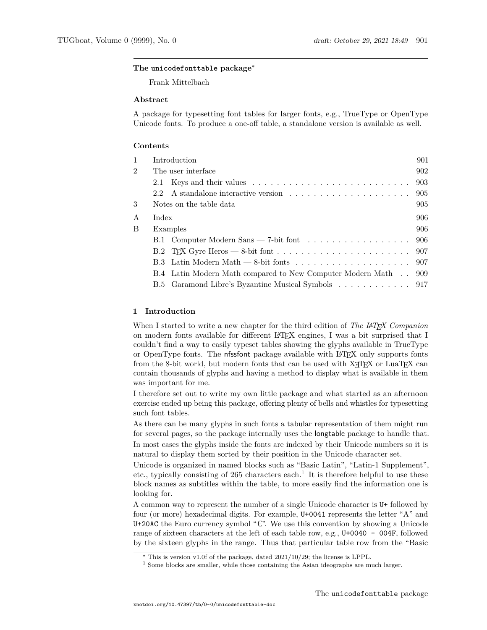## **The unicodefonttable package**[∗](#page-17-0)

Frank Mittelbach

## **Abstract**

A package for typesetting font tables for larger fonts, e.g., TrueType or OpenType Unicode fonts. To produce a one-off table, a standalone version is available as well.

## **Contents**

| 1              | Introduction                                                   | 901 |
|----------------|----------------------------------------------------------------|-----|
| $\overline{2}$ | The user interface.                                            | 902 |
|                | 2.1                                                            | 903 |
|                | 2.2                                                            |     |
| 3              | Notes on the table data                                        | 905 |
| A              | Index                                                          | 906 |
| B              | Examples                                                       | 906 |
|                | B.1 Computer Modern Sans — 7-bit font 906                      |     |
|                |                                                                |     |
|                |                                                                |     |
|                | B.4 Latin Modern Math compared to New Computer Modern Math 909 |     |
|                | B.5 Garamond Libre's Byzantine Musical Symbols 917             |     |
|                |                                                                |     |

## <span id="page-0-0"></span>**1 Introduction**

When I started to write a new chapter for the third edition of *The LATEX Companion* on modern fonts available for different LATEX engines, I was a bit surprised that I couldn't find a way to easily typeset tables showing the glyphs available in TrueType or OpenType fonts. The nfssfont package available with LATEX only supports fonts from the 8-bit world, but modern fonts that can be used with X<sub>T</sub>TEX or LuaTEX can contain thousands of glyphs and having a method to display what is available in them was important for me.

I therefore set out to write my own little package and what started as an afternoon exercise ended up being this package, offering plenty of bells and whistles for typesetting such font tables.

As there can be many glyphs in such fonts a tabular representation of them might run for several pages, so the package internally uses the longtable package to handle that. In most cases the glyphs inside the fonts are indexed by their Unicode numbers so it is natural to display them sorted by their position in the Unicode character set.

Unicode is organized in named blocks such as "Basic Latin", "Latin-1 Supplement", etc., typically consisting of 265 characters each.<sup>[1](#page-0-1)</sup> It is therefore helpful to use these block names as subtitles within the table, to more easily find the information one is looking for.

A common way to represent the number of a single Unicode character is U+ followed by four (or more) hexadecimal digits. For example, U+0041 represents the letter "A" and U+20AC the Euro currency symbol "€". We use this convention by showing a Unicode range of sixteen characters at the left of each table row, e.g., U+0040 - 004F, followed by the sixteen glyphs in the range. Thus that particular table row from the "Basic

<sup>∗</sup> This is version v1.0f of the package, dated 2021/10/29; the license is LPPL.

<span id="page-0-1"></span><sup>&</sup>lt;sup>1</sup> Some blocks are smaller, while those containing the Asian ideographs are much larger.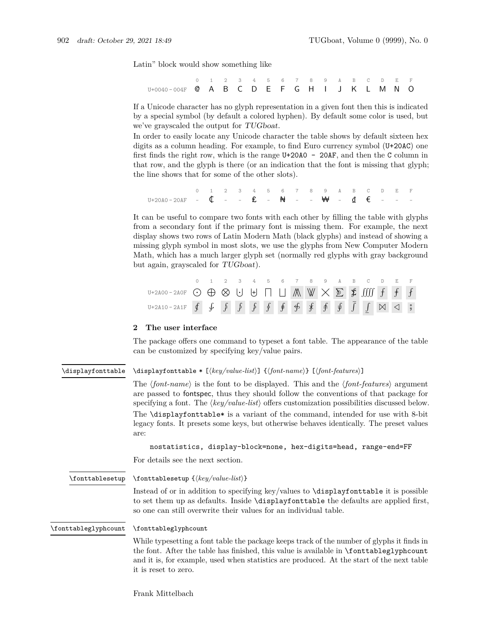Latin" block would show something like

|                                             |  |  |  |  | 0 1 2 3 4 5 6 7 8 9 A B C D E F |  |  |  |  |
|---------------------------------------------|--|--|--|--|---------------------------------|--|--|--|--|
| U+0040-004F @ A B C D E F G H I J K L M N O |  |  |  |  |                                 |  |  |  |  |

If a Unicode character has no glyph representation in a given font then this is indicated by a special symbol (by default a colored hyphen). By default some color is used, but we've grayscaled the output for TUGboat.

In order to easily locate any Unicode character the table shows by default sixteen hex digits as a column heading. For example, to find Euro currency symbol (U+20AC) one first finds the right row, which is the range U+20A0 - 20AF, and then the C column in that row, and the glyph is there (or an indication that the font is missing that glyph; the line shows that for some of the other slots).

0 1 2 3 4 5 6 7 8 9 A B C D E F U+20A0 - 20AF -  $\oint -$  -  $\oint -$  +  $\oint +$  -  $\oint +$  -  $\oint +$  +  $\oint \oint +$  +  $\oint +$  +  $\oint +$  +  $\oint +$  +  $\oint +$  +  $\oint +$  +  $\oint +$  +  $\oint +$  +  $\oint +$  +  $\oint +$  +  $\oint +$  +  $\oint +$  +  $\oint +$  +  $\oint +$  +  $\oint +$  +  $\oint +$  +  $\oint +$  +  $\oint +$  +  $\oint +$  +  $\oint +$  +

It can be useful to compare two fonts with each other by filling the table with glyphs from a secondary font if the primary font is missing them. For example, the next display shows two rows of Latin Modern Math (black glyphs) and instead of showing a missing glyph symbol in most slots, we use the glyphs from New Computer Modern Math, which has a much larger glyph set (normally red glyphs with gray background but again, grayscaled for TUGboat).

|                                                                                                                                                               |  |  |  |  |  |  | 0 1 2 3 4 5 6 7 8 9 A B C D E F |  |  |
|---------------------------------------------------------------------------------------------------------------------------------------------------------------|--|--|--|--|--|--|---------------------------------|--|--|
| U+2A00-2A0F $\odot$ $\oplus$ $\otimes$ $\cup$ $\oplus$ $\Box$ $\Box$ $\mathbb{A}$ $\mathbb{W}$ $\times$ $\mathbb{E}$ \$ $\mathbb{I}$ $\mathbb{I}$ $f$ $f$ $f$ |  |  |  |  |  |  |                                 |  |  |
| U+2A10-2A1F $\oint \oint \oint \oint \oint \oint f \oint f \oint f \oint f \oint f \oint f \hat{f} \hat{f}$                                                   |  |  |  |  |  |  |                                 |  |  |

## <span id="page-1-0"></span>**2 The user interface**

The package offers one command to typeset a font table. The appearance of the table can be customized by specifying key/value pairs.

#### <span id="page-1-1"></span>\displayfonttable \* [ $\{key/value\text{-}list\}$ ]  $\{\text{font-}name\}$  [ $\{font-features\}$ ] \displayfonttable

The  $\langle$ *font-name* $\rangle$  is the font to be displayed. This and the  $\langle$ *font-features* $\rangle$  argument are passed to fontspec, thus they should follow the conventions of that package for specifying a font. The  $\langle key/value\text{-}list \rangle$  offers customization possibilities discussed below. The \displayfonttable\* is a variant of the command, intended for use with 8-bit legacy fonts. It presets some keys, but otherwise behaves identically. The preset values are:

nostatistics, display-block=none, hex-digits=head, range-end=FF

For details see the next section.

<span id="page-1-2"></span>\fonttablesetup

 $\{key/value-list\}$ 

Instead of or in addition to specifying key/values to \displayfonttable it is possible to set them up as defaults. Inside \displayfonttable the defaults are applied first, so one can still overwrite their values for an individual table.

<span id="page-1-3"></span>\fonttableglyphcount \fonttableglyphcount

> While typesetting a font table the package keeps track of the number of glyphs it finds in the font. After the table has finished, this value is available in \fonttableglyphcount and it is, for example, used when statistics are produced. At the start of the next table it is reset to zero.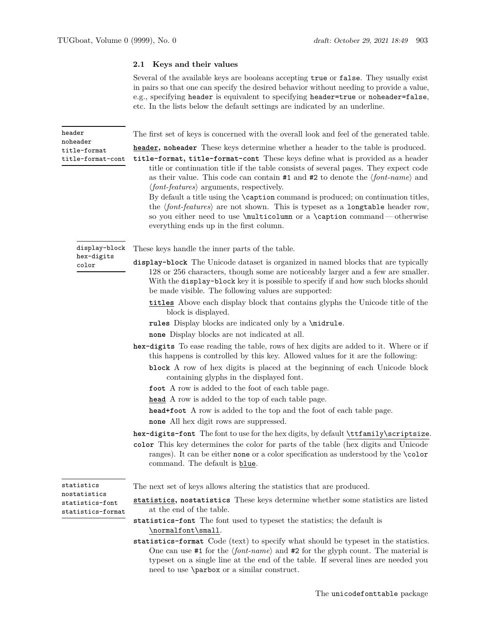## <span id="page-2-0"></span>**2.1 Keys and their values**

Several of the available keys are booleans accepting true or false. They usually exist in pairs so that one can specify the desired behavior without needing to provide a value, e.g., specifying header is equivalent to specifying header=true or noheader=false, etc. In the lists below the default settings are indicated by an underline.

The first set of keys is concerned with the overall look and feel of the generated table.

**header, noheader** These keys determine whether a header to the table is produced.

**title-format, title-format-cont** These keys define what is provided as a header title or continuation title if the table consists of several pages. They expect code as their value. This code can contain  $#1$  and  $#2$  to denote the  $\langle font-name \rangle$  and  $\langle$ *font-features* $\rangle$  arguments, respectively.

By default a title using the \caption command is produced; on continuation titles, the  $\langle font-features \rangle$  are not shown. This is typeset as a longtable header row, so you either need to use \multicolumn or a \caption command— otherwise everything ends up in the first column.

<span id="page-2-2"></span>display-block hex-digits color

<span id="page-2-1"></span>header noheader title-format title-format-cont

These keys handle the inner parts of the table.

- **display-block** The Unicode dataset is organized in named blocks that are typically 128 or 256 characters, though some are noticeably larger and a few are smaller. With the display-block key it is possible to specify if and how such blocks should be made visible. The following values are supported:
	- **titles** Above each display block that contains glyphs the Unicode title of the block is displayed.
	- **rules** Display blocks are indicated only by a \midrule.
	- **none** Display blocks are not indicated at all.
- **hex-digits** To ease reading the table, rows of hex digits are added to it. Where or if this happens is controlled by this key. Allowed values for it are the following:
	- **block** A row of hex digits is placed at the beginning of each Unicode block containing glyphs in the displayed font.
	- **foot** A row is added to the foot of each table page.
	- **head** A row is added to the top of each table page.
	- **head+foot** A row is added to the top and the foot of each table page.
	- **none** All hex digit rows are suppressed.

**hex-digits-font** The font to use for the hex digits, by default \ttfamily\scriptsize.

**color** This key determines the color for parts of the table (hex digits and Unicode ranges). It can be either none or a color specification as understood by the \color command. The default is blue.

<span id="page-2-3"></span>statistics nostatistics statistics-font statistics-format

The next set of keys allows altering the statistics that are produced.

- **statistics, nostatistics** These keys determine whether some statistics are listed at the end of the table.
- **statistics-font** The font used to typeset the statistics; the default is \normalfont\small.
- **statistics-format** Code (text) to specify what should be typeset in the statistics. One can use  $\#1$  for the  $\langle font\text{-}name \rangle$  and  $\#2$  for the glyph count. The material is typeset on a single line at the end of the table. If several lines are needed you need to use \parbox or a similar construct.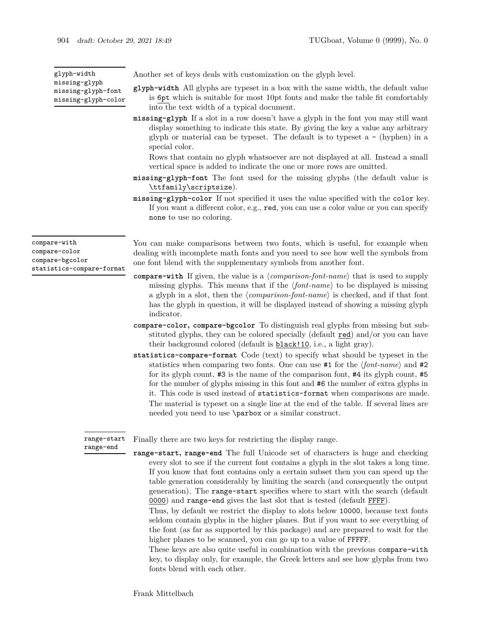<span id="page-3-1"></span>co

<span id="page-3-2"></span>

| glyph-width                                                                   | Another set of keys deals with customization on the glyph level.                                                                                                                                                                                                                                                                                                                                                                                    |
|-------------------------------------------------------------------------------|-----------------------------------------------------------------------------------------------------------------------------------------------------------------------------------------------------------------------------------------------------------------------------------------------------------------------------------------------------------------------------------------------------------------------------------------------------|
| missing-glyph<br>missing-glyph-font<br>missing-glyph-color                    | <b>glyph-width</b> All glyphs are typeset in a box with the same width, the default value<br>is 6pt which is suitable for most 10pt fonts and make the table fit comfortably<br>into the text width of a typical document.                                                                                                                                                                                                                          |
|                                                                               | missing-glyph If a slot in a row doesn't have a glyph in the font you may still want<br>display something to indicate this state. By giving the key a value any arbitrary<br>glyph or material can be typeset. The default is to typeset $a - (hyphen)$ in a<br>special color.                                                                                                                                                                      |
|                                                                               | Rows that contain no glyph whatsoever are not displayed at all. Instead a small<br>vertical space is added to indicate the one or more rows are omitted.                                                                                                                                                                                                                                                                                            |
|                                                                               | missing-glyph-font The font used for the missing glyphs (the default value is<br>\ttfamily\scriptsize).                                                                                                                                                                                                                                                                                                                                             |
|                                                                               | missing-glyph-color If not specified it uses the value specified with the color key.<br>If you want a different color, e.g., red, you can use a color value or you can specify<br>none to use no coloring.                                                                                                                                                                                                                                          |
| compare-with<br>compare-color<br>compare-bgcolor<br>statistics-compare-format | You can make comparisons between two fonts, which is useful, for example when<br>dealing with incomplete math fonts and you need to see how well the symbols from<br>one font blend with the supplementary symbols from another font.                                                                                                                                                                                                               |
|                                                                               | <b>compare-with</b> If given, the value is a $\langle comparison\text{-}font\text{-}name\rangle$ that is used to supply<br>missing glyphs. This means that if the $\langle font\text{-}name \rangle$ to be displayed is missing<br>a glyph in a slot, then the $\langle comparison\text{-}font\text{-}name\rangle$ is checked, and if that font<br>has the glyph in question, it will be displayed instead of showing a missing glyph<br>indicator. |
|                                                                               | compare-color, compare-bgcolor To distinguish real glyphs from missing but sub-<br>stituted glyphs, they can be colored specially (default red) and/or you can have<br>their background colored (default is <b>black!10</b> , i.e., a light gray).                                                                                                                                                                                                  |

**statistics-compare-format** Code (text) to specify what should be typeset in the statistics when comparing two fonts. One can use  $#1$  for the  $\{font-name\}$  and  $#2$ for its glyph count, #3 is the name of the comparison font, #4 its glyph count, #5 for the number of glyphs missing in this font and #6 the number of extra glyphs in it. This code is used instead of statistics-format when comparisons are made. The material is typeset on a single line at the end of the table. If several lines are needed you need to use \parbox or a similar construct.

<span id="page-3-0"></span>Finally there are two keys for restricting the display range. range-start range-end

**range-start, range-end** The full Unicode set of characters is huge and checking every slot to see if the current font contains a glyph in the slot takes a long time. If you know that font contains only a certain subset then you can speed up the table generation considerably by limiting the search (and consequently the output generation). The range-start specifies where to start with the search (default 0000) and range-end gives the last slot that is tested (default FFFF).

Thus, by default we restrict the display to slots below 10000, because text fonts seldom contain glyphs in the higher planes. But if you want to see everything of the font (as far as supported by this package) and are prepared to wait for the higher planes to be scanned, you can go up to a value of **FFFFF**.

These keys are also quite useful in combination with the previous compare-with key, to display only, for example, the Greek letters and see how glyphs from two fonts blend with each other.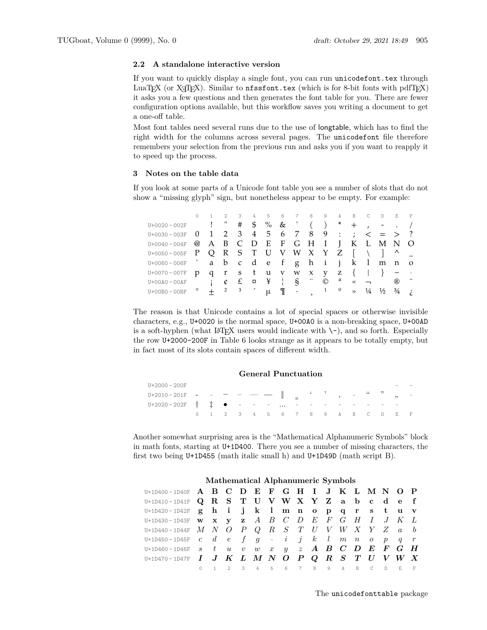## <span id="page-4-0"></span>**2.2 A standalone interactive version**

If you want to quickly display a single font, you can run unicodefont.tex through LuaTEX (or  $X \rightharpoonup T$ EX). Similar to  $n$ **fssfont.tex** (which is for 8-bit fonts with pdfTEX) it asks you a few questions and then generates the font table for you. There are fewer configuration options available, but this workflow saves you writing a document to get a one-off table.

Most font tables need several runs due to the use of longtable, which has to find the right width for the columns across several pages. The unicodefont file therefore remembers your selection from the previous run and asks you if you want to reapply it to speed up the process.

## <span id="page-4-1"></span>**3 Notes on the table data**

If you look at some parts of a Unicode font table you see a number of slots that do not show a "missing glyph" sign, but nonetheless appear to be empty. For example:

|                                           |                                                |                     |  |  | 1 2 3 4 5 6 7 8 9 A B C D E F                                        |                      |               |  |                |  |
|-------------------------------------------|------------------------------------------------|---------------------|--|--|----------------------------------------------------------------------|----------------------|---------------|--|----------------|--|
| U+0020-002F                               | $\mathbf{I}$ and $\mathbf{I}$ and $\mathbf{I}$ |                     |  |  | # \$ % & ' ( ) * + , - . /                                           |                      |               |  |                |  |
| $U+0030-003F$ 0                           |                                                |                     |  |  | $1 \t2 \t3 \t4 \t5 \t6 \t7 \t8 \t9 \t: ; \t< \t= \t> ?$              |                      |               |  |                |  |
| U+0040-004F                               |                                                |                     |  |  | @ A B C D E F G H I J K L M N O                                      |                      |               |  |                |  |
| U+0050-005F P Q R S T U V W X Y Z [ \ ] ^ |                                                |                     |  |  |                                                                      |                      |               |  |                |  |
| U+0060-006F abcdef ghijklm no             |                                                |                     |  |  |                                                                      |                      |               |  |                |  |
| $U + 0070 - 007F$                         | q                                              |                     |  |  | rstuvwxyz $\{\quad\}$ ~                                              |                      |               |  |                |  |
| $U+OOAO-OOAF$                             |                                                |                     |  |  | $i$ $\ell$ $\epsilon$ $\alpha$ $\gamma$ $\gamma$ $\gamma$            | $\odot$ <sup>a</sup> | $\ll$ $\lnot$ |  | $^{\circledR}$ |  |
| $U+00B0 - 00BF$                           |                                                | $2 \quad 3 \quad 7$ |  |  | $\mathbb{I}$ $\cdot$ $\cdot$ $\cdot$ $\cdot$ $\cdot$ $\cdot$ $\cdot$ |                      | $\rightarrow$ |  |                |  |

The reason is that Unicode contains a lot of special spaces or otherwise invisible characters, e.g., U+0020 is the normal space, U+00A0 is a non-breaking space, U+00AD is a soft-hyphen (what LAT<sub>EX</sub> users would indicate with  $\setminus$ -), and so forth. Especially the row U+2000-200F in Table 6 looks strange as it appears to be totally empty, but in fact most of its slots contain spaces of different width.

#### **General Punctuation**

| U+2000 - 200F                                  |  |  |                                 |  |  |  |  |  |  |
|------------------------------------------------|--|--|---------------------------------|--|--|--|--|--|--|
| U+2010–201F - - - - - -    _ ' ' , - " " , -   |  |  |                                 |  |  |  |  |  |  |
| U+2020 - 202F † ‡ ● - - - -  - - - - - - - - - |  |  |                                 |  |  |  |  |  |  |
|                                                |  |  | 0 1 2 3 4 5 6 7 8 9 A B C D E F |  |  |  |  |  |  |

Another somewhat surprising area is the "Mathematical Alphanumeric Symbols" block in math fonts, starting at U+1D400. There you see a number of missing characters, the first two being U+1D455 (math italic small h) and U+1D49D (math script B).

| $U+1D400-ID40F$ A B C D E F G H I J K L M N O P                               |         |  |  |  |  |  |  |                               |  |
|-------------------------------------------------------------------------------|---------|--|--|--|--|--|--|-------------------------------|--|
| U+1D410-1D41F Q R S T U V W X Y Z a b c d e f                                 |         |  |  |  |  |  |  |                               |  |
| U+1D420-1D42F g h i j k l m n o p q r s t u v                                 |         |  |  |  |  |  |  |                               |  |
| U+1D430-1D43F <b>w x y z</b> <i>A B C D E F G H I J K L</i>                   |         |  |  |  |  |  |  |                               |  |
| U+1D440-1D44F $M$ $N$ $O$ $P$ $Q$ $R$ $S$ $T$ $U$ $V$ $W$ $X$ $Y$ $Z$ $a$ $b$ |         |  |  |  |  |  |  |                               |  |
| U+1D450-1D45F $c$ $d$ $e$ $f$ $g$ - $i$ $j$ $k$ $l$ $m$ $n$ $o$ $p$ $q$ $r$   |         |  |  |  |  |  |  |                               |  |
| U+1D460-1D46F $s$ $t$ $u$ $v$ $w$ $x$ $y$ $z$ $A$ $B$ $C$ $D$ $E$ $F$ $G$ $H$ |         |  |  |  |  |  |  |                               |  |
| $U+1D470-1D47F$ <i>I J K L M N O P Q R S T U V W X</i>                        |         |  |  |  |  |  |  |                               |  |
|                                                                               | $\circ$ |  |  |  |  |  |  | 1 2 3 4 5 6 7 8 9 A B C D E F |  |

#### **Mathematical Alphanumeric Symbols**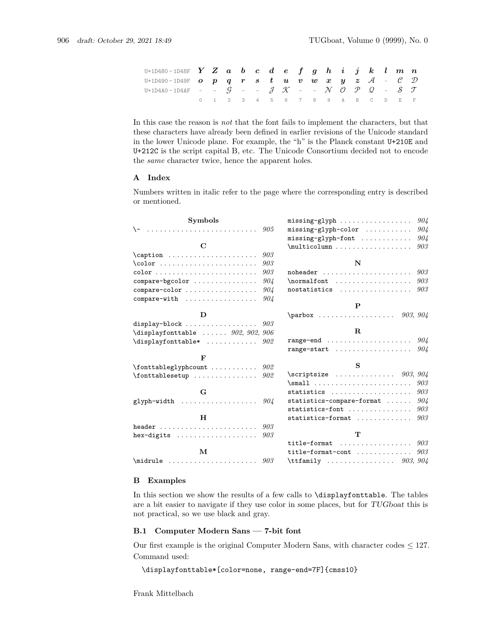| U+1D480-1D48F $\boldsymbol{Y}$ $\boldsymbol{Z}$ $\boldsymbol{a}$ $\boldsymbol{b}$ $\boldsymbol{c}$ $\boldsymbol{d}$ $\boldsymbol{e}$ $\boldsymbol{f}$ $\boldsymbol{g}$ $\boldsymbol{h}$ $\boldsymbol{i}$ $\boldsymbol{j}$ $\boldsymbol{k}$ $\boldsymbol{l}$ $\boldsymbol{m}$ $\boldsymbol{n}$                |  |  |  |                                 |  |  |  |  |  |
|--------------------------------------------------------------------------------------------------------------------------------------------------------------------------------------------------------------------------------------------------------------------------------------------------------------|--|--|--|---------------------------------|--|--|--|--|--|
| U+1D490-1D49F $\boldsymbol{o}$ $\boldsymbol{p}$ $\boldsymbol{q}$ $\boldsymbol{r}$ $\boldsymbol{s}$ $\boldsymbol{t}$ $\boldsymbol{u}$ $\boldsymbol{v}$ $\boldsymbol{w}$ $\boldsymbol{x}$ $\boldsymbol{y}$ $\boldsymbol{z}$ $\boldsymbol{\mathcal{A}}$ - $\boldsymbol{\mathcal{C}}$ $\boldsymbol{\mathcal{D}}$ |  |  |  |                                 |  |  |  |  |  |
| <code>U+1D4AO–1D4AF – – G – – J K – – N O P Q – S T</code>                                                                                                                                                                                                                                                   |  |  |  |                                 |  |  |  |  |  |
|                                                                                                                                                                                                                                                                                                              |  |  |  | 0 1 2 3 4 5 6 7 8 9 A B C D E F |  |  |  |  |  |

In this case the reason is *not* that the font fails to implement the characters, but that these characters have already been defined in earlier revisions of the Unicode standard in the lower Unicode plane. For example, the "h" is the Planck constant U+210E and U+212C is the script capital B, etc. The Unicode Consortium decided not to encode the *same* character twice, hence the apparent holes.

#### <span id="page-5-0"></span>**A Index**

Numbers written in italic refer to the page where the corresponding entry is described or mentioned.

| <b>Symbols</b>                                                      |     |                                                   | 904 |
|---------------------------------------------------------------------|-----|---------------------------------------------------|-----|
| \-                                                                  | 905 | $missing-glyph-color \ldots$                      | 904 |
|                                                                     |     | $missing-glyph-font$                              | 904 |
| $\mathbf C$                                                         |     | $\multicolumn{2.1}{\mu}\dots$                     | 903 |
| $\cap \dots \dots \dots \dots$                                      | 903 |                                                   |     |
| $\colon \ldots \dots \dots \dots \dots \dots$                       | 903 | N                                                 |     |
| $color \dots \dots \dots \dots \dots \dots \dots \dots \dots \dots$ | 903 |                                                   | 903 |
| $compare-bycolor$                                                   | 904 | $\normalfont$                                     | 903 |
| compare-color                                                       | 904 | nostatistics                                      | 903 |
| $compare-with$                                                      | 904 |                                                   |     |
|                                                                     |     | P                                                 |     |
|                                                                     |     | $\partial X$ 903, 904                             |     |
| display-block $903$                                                 |     |                                                   |     |
| $\verb+\displayfont table~~.\dots~~902,~902,~906$                   |     | $\mathbf{R}$                                      |     |
| $\verb+\displayfont table* + \dots + \dots + 902$                   |     | range-end                                         | 904 |
|                                                                     |     | $range-start \dots \dots \dots \dots \dots \dots$ | 904 |
| $\mathbf{F}$                                                        |     |                                                   |     |
| $\forall$ fonttableglyphcount  902                                  |     | S                                                 |     |
| $\forall$ fonttablesetup  902                                       |     | \scriptsize $903, 904$                            |     |
|                                                                     |     | $\sum_1 \ldots \ldots \ldots$                     | 903 |
| G                                                                   |     | statistics                                        | 903 |
| glyph-width $904$                                                   |     | statistics-compare-format                         | 904 |
|                                                                     |     | $statistics-font$                                 | 903 |
| H                                                                   |     | statistics-format                                 | 903 |
|                                                                     |     |                                                   |     |
| hex-digits $\ldots \ldots \ldots \ldots \ldots \ldots$ 903          |     | T                                                 |     |
|                                                                     |     | title-format $903$                                |     |
| М                                                                   |     | title-format-cont                                 | 903 |
| $\mathcal{G}$                                                       |     | \ttfamily $903, 904$                              |     |

#### <span id="page-5-1"></span>**B Examples**

In this section we show the results of a few calls to \displayfonttable. The tables are a bit easier to navigate if they use color in some places, but for TUGboat this is not practical, so we use black and gray.

#### <span id="page-5-2"></span>**B.1 Computer Modern Sans — 7-bit font**

Our first example is the original Computer Modern Sans, with character codes  $\leq 127$ . Command used:

\displayfonttable\*[color=none, range-end=7F]{cmss10}

Frank Mittelbach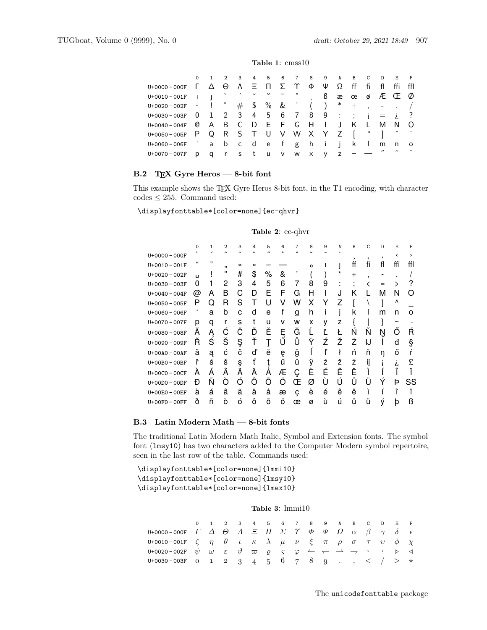#### **Table 1**: cmss10

|                                                                                                                                                                                                                                                                                                                                   |                         |            | 2         |            |     |               |                         |          |        |   | 3 4 5 6 7 8 9 A B C D E     |             |        |          |
|-----------------------------------------------------------------------------------------------------------------------------------------------------------------------------------------------------------------------------------------------------------------------------------------------------------------------------------|-------------------------|------------|-----------|------------|-----|---------------|-------------------------|----------|--------|---|-----------------------------|-------------|--------|----------|
| U+0000 - 000F                                                                                                                                                                                                                                                                                                                     |                         | Λ          | $\Theta$  | $\Lambda$  | - = |               |                         | Φ        | Ψ      |   |                             |             |        | ffl      |
| $U + 0010 - 001F$                                                                                                                                                                                                                                                                                                                 |                         | $\sim$ 1.1 | $\lambda$ | $\epsilon$ |     |               |                         |          | ß      |   | æœøÆŒ                       |             |        | Ø        |
| $U+0020-002F$ - $\qquad$ $\qquad$ $\qquad$ $\qquad$ $\qquad$ $\qquad$ $\qquad$ $\qquad$ $\qquad$ $\qquad$ $\qquad$ $\qquad$ $\qquad$ $\qquad$ $\qquad$ $\qquad$ $\qquad$ $\qquad$ $\qquad$ $\qquad$ $\qquad$ $\qquad$ $\qquad$ $\qquad$ $\qquad$ $\qquad$ $\qquad$ $\qquad$ $\qquad$ $\qquad$ $\qquad$ $\qquad$ $\qquad$ $\qquad$ |                         |            |           |            |     | $\#$ \$ % & ' |                         |          |        |   | $($ $)$ * + , - . /         |             |        |          |
| $U + 0030 - 003F$                                                                                                                                                                                                                                                                                                                 | $\overline{\mathbf{0}}$ |            |           |            |     |               |                         |          |        |   | 1 2 3 4 5 6 7 8 9 : ; j = i |             |        |          |
| $U + 0040 - 004F$                                                                                                                                                                                                                                                                                                                 | Q                       |            |           |            |     |               | A B C D E F G H I J K L |          |        |   |                             | M           | N.     | $\Omega$ |
| $U+0050 - 005F$ P                                                                                                                                                                                                                                                                                                                 |                         |            |           |            |     |               | Q R S T U V W X Y Z     |          |        |   |                             |             | $\sim$ |          |
| U+0060-006F 'abcdef ghijk I                                                                                                                                                                                                                                                                                                       |                         |            |           |            |     |               |                         |          |        |   |                             | m           | n      | $\circ$  |
| $U + 0070 - 007F$                                                                                                                                                                                                                                                                                                                 | D                       | a          |           |            |     | rstuv         | <b>W</b>                | $\times$ | $\vee$ | Z |                             | $^{\prime}$ |        |          |

## <span id="page-6-0"></span>**B.2 TEX Gyre Heros — 8-bit font**

This example shows the TEX Gyre Heros 8-bit font, in the T1 encoding, with character codes  $\leq 255.$  Command used:

\displayfonttable\*[color=none]{ec-qhvr}

## **Table 2**: ec-qhvr

|                   | $\mathbf 0$ | $\mathbf{1}$ | $\overline{2}$           | 3       | 4  | 5  | 6                             | 7      | 8        | 9 | A | $\mathbf B$ | C  | D  | E          | F   |
|-------------------|-------------|--------------|--------------------------|---------|----|----|-------------------------------|--------|----------|---|---|-------------|----|----|------------|-----|
| U+0000 - 000F     |             |              | $\overline{\phantom{a}}$ | ÷       |    | ,, | $\Omega$                      |        |          |   |   |             |    | ,  | <          | >   |
| $U + 0010 - 001F$ | "           | ,,           | ,,                       | $\prec$ | >> |    |                               |        | $\Omega$ |   |   | ff          | fi | fl | ffi        | ffl |
| $U + 0020 - 002F$ | Ц           |              | "                        | #       | \$ | %  | &                             | ,      |          |   | * | $\ddot{}$   | ٠  |    |            |     |
| U+0030-003F       | 0           |              | 2                        | 3       | 4  | 5  | 6                             | 7      | 8        | 9 |   | ٠           |    |    |            |     |
| $U + 0040 - 004F$ | @           | А            | B                        | С       | D  | E  | F                             | G      | н        |   |   | κ           |    | М  | N          | 0   |
| $U + 0050 - 005F$ | Ρ           | Q            | R                        | S       |    | U  | V                             | w      | Χ        | Y | 7 |             |    |    | ۸          |     |
| U+0060 - 006F     |             | a            | b                        | C       | d  | e  |                               | g      | h        |   |   | k           |    | m  | n          | O   |
| U+0070-007F       | р           | q            | r                        | s       |    | u  | v                             | w      | x        | у | z |             |    |    | $\tilde{}$ |     |
| U+0080-008F       | А           | Ą            | С                        | Č       | D  | Ě  | Ę                             | Ğ      |          |   |   | N           | N  | Ν  |            | R   |
| U+0090 - 009F     | R           | Ś            | Š                        | Ş       | Ť  |    | $\overline{r}$<br>Ü           | ۰<br>Ů | Υ        | Ź | Ž | Ż           | IJ |    | đ          | §   |
| $U+OOAO-OOAF$     | ă           | ą            | ć                        | č       | ď  | ě  | ę                             | ğ      |          |   | ł | ń           | ň  |    | Ő          |     |
| U+00B0-00BF       | ř           | ś            | š                        | ş       | ť  |    | $\overline{\phantom{a}}$<br>ü | ů      | v        | ź | ž | ż           | Н  |    |            |     |
| $U+00CO - 00CF$   | А           | А            | Â                        | Ã       | А  | А  | Æ                             | Ç      | F        | É | Ê | Ë           |    |    |            |     |
| $U+OODO - OODF$   | Ð           | N            | റ                        | റ       | Ô  | റ  | റ                             | Œ      | Ø        | U | Ĥ | U           |    |    | Þ          | SS  |
| U+00E0 - 00EF     | à           | á            | â                        | ã       | ä  | å  | æ                             | ç      | è        | é | ê | ë           |    |    |            |     |
| U+00F0-00FF       | ð           | ñ            | ò                        | ó       | ô  | Õ  | O                             | œ      | Ø        | Ù | ú | û           | u  | Ý  | þ          | ß   |

#### <span id="page-6-1"></span>**B.3 Latin Modern Math — 8-bit fonts**

The traditional Latin Modern Math Italic, Symbol and Extension fonts. The symbol font (lmsy10) has two characters added to the Computer Modern symbol repertoire, seen in the last row of the table. Commands used:

\displayfonttable\*[color=none]{lmmi10} \displayfonttable\*[color=none]{lmsy10} \displayfonttable\*[color=none]{lmex10}

#### **Table 3**: lmmi10

|                                                                                                                                                                                                   |  |  | 0 1 2 3 4 5 6 7 8 9 A B C D E F |  |  |  |  |  |
|---------------------------------------------------------------------------------------------------------------------------------------------------------------------------------------------------|--|--|---------------------------------|--|--|--|--|--|
| U+0000-000F $\Gamma$ $\Delta$ $\Theta$ $\Lambda$ $\Xi$ $\Pi$ $\Sigma$ $\Upsilon$ $\Phi$ $\Psi$ $\Omega$ $\alpha$ $\beta$ $\gamma$ $\delta$ $\epsilon$                                             |  |  |                                 |  |  |  |  |  |
| U+0010-001F $\zeta$ $\eta$ $\theta$ $\iota$ $\kappa$ $\lambda$ $\mu$ $\nu$ $\xi$ $\pi$ $\rho$ $\sigma$ $\tau$ $\nu$ $\phi$ $\chi$                                                                 |  |  |                                 |  |  |  |  |  |
| U+0020-002F $\psi$ $\omega$ $\varepsilon$ $\vartheta$ $\varpi$ $\rho$ $\varsigma$ $\varphi$ $\leftharpoonup$ $\leftharpoonup$ $\rightharpoonup$ $\lightharpoonup$ $\circ$ $\Rightarrow$ $\varphi$ |  |  |                                 |  |  |  |  |  |
| U+0030-003F 0 1 2 3 4 5 6 7 8 9 . , $\lt$ / > $\star$                                                                                                                                             |  |  |                                 |  |  |  |  |  |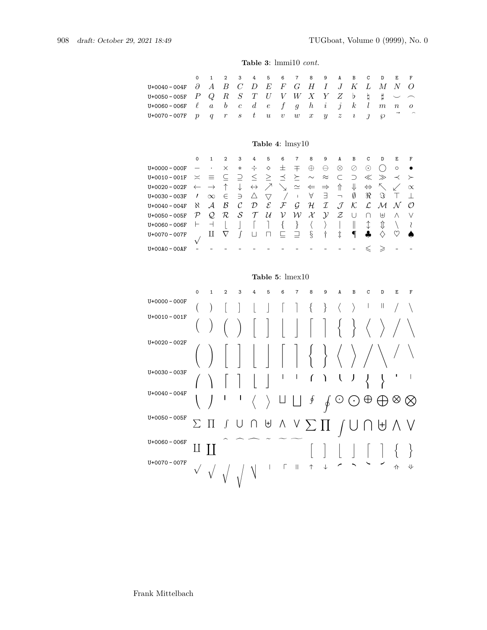#### **Table 3**: lmmi10 *cont.*

| $U + 0040 - 004F$<br>$U+0050 - 005F$<br>$U+0060 - 006F$<br>U+0070-007F                                                                                                      | $\mathbf 0$<br>$\partial$<br>$\boldsymbol{P}$<br>$\ell$<br>$\mathcal{p}$                                                      | $\mathbf{1}$<br>А<br>Q<br>$\overline{a}$<br>q                                                                                                  | $\overline{2}$<br>$\boldsymbol{B}$<br>$\boldsymbol{R}$<br>$\boldsymbol{b}$<br>$\boldsymbol{r}$                           | 3<br>$\, C \,$<br>S<br>$\overline{c}$<br>$\mathcal{S}_{\mathcal{S}}$                                                       | 4<br>D<br>T<br>$\boldsymbol{d}$<br>t                                                           | 5<br>E<br>$\boldsymbol{U}$<br>$\epsilon$<br>$\boldsymbol{u}$                                          | 6<br>$\,F$<br>V<br>f<br>$\upsilon$                                    | $\overline{7}$<br>G<br>W<br>$\mathfrak{g}$<br>$\boldsymbol{w}$                                                          | 8<br>Η<br>X<br>$\boldsymbol{h}$<br>$\boldsymbol{x}$                                               | 9<br>Ι<br>Y<br>i<br>$\overline{y}$                                                                         | A<br>J<br>Ζ<br>$\dot{j}$<br>$\tilde{z}$                                                  | B<br>K<br>$\mathsf{b}$<br>$\kappa$<br>$\imath$                                   | C<br>L<br>h<br>l<br>$\iota$                                                                              | D<br>М<br>Ħ<br>$\,m$<br>℘                                                                         | E<br>N<br>$\, n$                                           | $\mathbf F$<br>O<br>0                                     |
|-----------------------------------------------------------------------------------------------------------------------------------------------------------------------------|-------------------------------------------------------------------------------------------------------------------------------|------------------------------------------------------------------------------------------------------------------------------------------------|--------------------------------------------------------------------------------------------------------------------------|----------------------------------------------------------------------------------------------------------------------------|------------------------------------------------------------------------------------------------|-------------------------------------------------------------------------------------------------------|-----------------------------------------------------------------------|-------------------------------------------------------------------------------------------------------------------------|---------------------------------------------------------------------------------------------------|------------------------------------------------------------------------------------------------------------|------------------------------------------------------------------------------------------|----------------------------------------------------------------------------------|----------------------------------------------------------------------------------------------------------|---------------------------------------------------------------------------------------------------|------------------------------------------------------------|-----------------------------------------------------------|
|                                                                                                                                                                             |                                                                                                                               |                                                                                                                                                |                                                                                                                          |                                                                                                                            |                                                                                                |                                                                                                       | Table 4: lmsy10                                                       |                                                                                                                         |                                                                                                   |                                                                                                            |                                                                                          |                                                                                  |                                                                                                          |                                                                                                   |                                                            |                                                           |
| U+0000 - 000F<br>$U+0010 - 001F$<br>$U+0020 - 002F$<br>$U + 0030 - 003F$<br>$U + 0040 - 004F$<br>$U+0050 - 005F$<br>$U + 0060 - 006F$<br>$U + 0070 - 007F$<br>$U+OOAO-OOAF$ | 0<br>$\overline{\phantom{0}}$<br>$\asymp$<br>$\leftarrow$<br>I.<br>Κ.<br>$\mathcal{P}$<br>⊢<br>$\checkmark$<br>$\overline{a}$ | $\mathbf{1}$<br>$\cdot$<br>$\equiv$<br>$\rightarrow$<br>$\infty$<br>$\mathcal{A}$<br>$\mathcal{Q}$<br>$\overline{\phantom{0}}$<br>$\mathbf{H}$ | $\overline{2}$<br>$\times$<br>$\subseteq$<br>$\uparrow$<br>$\in$<br>$\mathcal B$<br>$\cal R$<br>$\mathbf{I}$<br>$\nabla$ | 3<br>$\ast$<br>$\supseteq$<br>$\downarrow$<br>$\supseteq$<br>$\mathcal{C}_{0}$<br>$\mathcal{S}_{0}$<br>$\rfloor$<br>$\int$ | 4<br>÷<br>$\leq$<br>$\leftrightarrow$<br>$\triangle$<br>$\mathcal{D}$<br>$\tau$<br>ſ<br>$\Box$ | 5<br>♦<br>$\geq$<br>$\nearrow$<br>$\overline{\nabla}$<br>$\mathcal E$<br>$\mathcal{U}$<br>1<br>$\Box$ | 6<br>士<br>$\preceq$<br>$\sqrt{2}$<br>${\mathcal F}$<br>ν<br>$\{$<br>⊑ | $\overline{7}$<br>王<br>$\succeq$<br>$\simeq$<br>$\mathbb{F}$<br>$\mathcal G$<br>${\cal W}$<br>}<br>$\overline{\square}$ | 8<br>$\oplus$<br>$\sim$<br>$\Leftarrow$<br>A<br>${\mathcal H}$<br>$\mathcal{X}$<br>$\langle$<br>ş | 9<br>θ<br>$\approx$<br>$\Rightarrow$<br>$\exists$<br>${\cal I}$<br>$\mathcal{Y}$<br>$\rangle$<br>$\dagger$ | A<br>$\otimes$<br>C<br>介<br>$\overline{\phantom{m}}$<br>$\mathcal{J}$<br>Z<br>$\ddagger$ | B<br>⊘<br>$\supset$<br>⇓<br>Ø<br>$\mathcal{K}% _{0}$<br>U<br>$\parallel$<br>$\P$ | C<br>$\odot$<br>$\ll$<br>$\Leftrightarrow$<br>$\Re$<br>$\mathcal{L}% _{G}$<br>∩<br>↨<br>4<br>$\leqslant$ | D<br>$( \ )$<br>$>\!\!>\!\!$<br>$\nwarrow$<br>$\Im$<br>$\mathcal M$<br>₩<br>⇕<br>♦<br>$\geqslant$ | E<br>$\circ$<br>≺<br>↙<br>Τ<br>N<br>Λ<br>∖<br>$\heartsuit$ | F<br>≻<br>$\propto$<br>$\perp$<br>$\mathcal{O}$<br>V<br>₹ |
|                                                                                                                                                                             |                                                                                                                               |                                                                                                                                                |                                                                                                                          |                                                                                                                            |                                                                                                |                                                                                                       | Table 5: $l$ mex $10$                                                 |                                                                                                                         |                                                                                                   |                                                                                                            |                                                                                          |                                                                                  |                                                                                                          |                                                                                                   |                                                            |                                                           |
| U+0000 - 000F<br>$U+0010 - 001F$<br>$U+0020 - 002F$<br>$U + 0030 - 003F$<br>$U + 0040 - 004F$                                                                               | $\mathbf 0$<br>$\overline{\phantom{a}}$                                                                                       | $\mathbf 1$<br>$\mathcal{)}$                                                                                                                   | $\overline{2}$<br>ı                                                                                                      | 3<br>ı                                                                                                                     | 4                                                                                              | 5                                                                                                     | 6<br>I                                                                | $\overline{7}$<br>I                                                                                                     | 8<br>{<br>ſ<br>∮                                                                                  | 9<br>$\}$<br>Ι                                                                                             | A<br>$\langle$<br>$\overline{\mathcal{L}}$<br>C                                          | $\mathbf B$<br>$\rangle$                                                         | C<br>I                                                                                                   | D<br>Ш                                                                                            | E<br>ı                                                     | $\mathbf F$<br>T                                          |

 $U+0050 - 005$ F  $\sum \prod \left( U \cap \biguplus \bigwedge V \sum \prod \left( I \mid \bigcap \biguplus A \bigvee$ 

U+0060 - 006F II II and a b c d c a b c i j i j j j j l

U+0070 - 007F  $\bigvee$   $\bigcup$   $\bigcup$   $\bigcup$   $\bigcup$   $\bigcup$   $\bigcup$   $\bigcup$   $\bigcup$   $\bigcup$   $\bigcup$   $\bigcup$   $\bigcup$   $\bigcup$   $\bigcup$   $\bigcup$   $\bigcup$   $\bigcup$   $\bigcup$   $\bigcup$   $\bigcup$   $\bigcup$   $\bigcup$   $\bigcup$   $\bigcup$   $\bigcup$   $\bigcup$   $\bigcup$   $\bigcup$   $\bigcup$   $\bigcup$   $\bigcup$   $\bigcup$   $\bigcup$   $\big$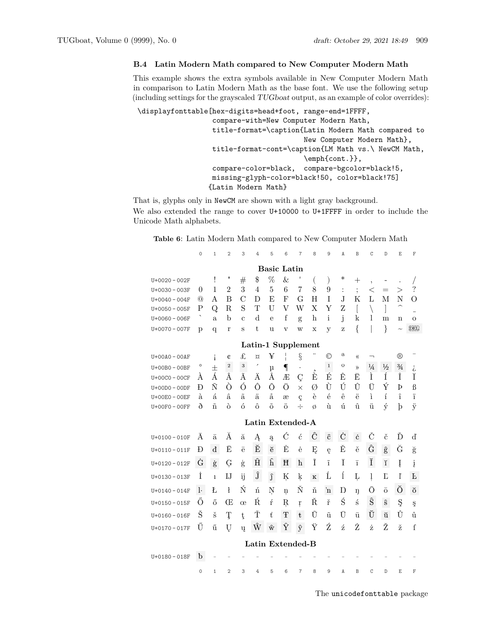#### <span id="page-8-0"></span>**B.4 Latin Modern Math compared to New Computer Modern Math**

This example shows the extra symbols available in New Computer Modern Math in comparison to Latin Modern Math as the base font. We use the following setup (including settings for the grayscaled TUGboat output, as an example of color overrides):

\displayfonttable[hex-digits=head+foot, range-end=1FFFF,

compare-with=New Computer Modern Math, title-format=\caption{Latin Modern Math compared to New Computer Modern Math}, title-format-cont=\caption{LM Math vs.\ NewCM Math, \emph{cont.}}, compare-color=black, compare-bgcolor=black!5, missing-glyph-color=black!50, color=black!75] {Latin Modern Math}

That is, glyphs only in NewCM are shown with a light gray background. We also extended the range to cover U+10000 to U+1FFFF in order to include the Unicode Math alphabets.

**Table 6**: Latin Modern Math compared to New Computer Modern Math

|                   | $\circ$                  | $\mathbf{1}$         | $\overline{2}$ | 3                    | 4                  | 5              | 6                       | $\overline{7}$ | 8           | 9             | A                 | B              | C                        | $\mathbb D$            | $\mathbb E$    | F                        |
|-------------------|--------------------------|----------------------|----------------|----------------------|--------------------|----------------|-------------------------|----------------|-------------|---------------|-------------------|----------------|--------------------------|------------------------|----------------|--------------------------|
|                   |                          |                      |                |                      |                    |                | <b>Basic Latin</b>      |                |             |               |                   |                |                          |                        |                |                          |
| $U+0020 - 002F$   |                          | ı                    |                | #                    | \$                 | %              | &                       |                | $\left($    | $\mathcal{E}$ | ∗                 | $\overline{+}$ | $\overline{ }$           |                        |                |                          |
| $U + 0030 - 003F$ | $\theta$                 | $\mathbf{1}$         | $\overline{2}$ | 3                    | 4                  | $\overline{5}$ | 6                       | $\overline{7}$ | 8           | 9             | $\ddot{\cdot}$    | $\ddot{\cdot}$ | $\,<\,$                  | $=$                    | $\rm{>}$       | $\overline{\mathcal{L}}$ |
| $U + 0040 - 004F$ | $^\mathrm{(0)}$          | А                    | B              | $\overline{C}$       | D                  | E              | F                       | G              | H           | T             | J.                | K              | L                        | М                      | N              | $\Omega$                 |
| $U + 0050 - 005F$ | P                        | Q                    | R.             | S                    | T                  | U              | V                       | W              | X           | Y             | Z                 |                |                          |                        |                |                          |
| $U + 0060 - 006F$ | $\overline{\phantom{0}}$ | a                    | b              | $\mathbf c$          | d                  | e              | f                       | g              | $\mathbf h$ | $\mathbf{i}$  | j                 | k              | 1                        | m                      | n              | $\mathbf{O}$             |
| $U + 0070 - 007F$ | p                        | q                    | r              | S                    | t                  | u              | $\overline{\mathbf{V}}$ | W              | $\mathbf X$ | y             | Z                 | {              |                          | $\}$                   | $\sim$         | <b>DEL</b>               |
|                   |                          |                      |                |                      | Latin-1 Supplement |                |                         |                |             |               |                   |                |                          |                        |                |                          |
| $U+OOAO-OOAF$     |                          |                      | ¢              | £                    | $\alpha$           | ¥              |                         | $\S$           |             | ©             | a                 | «              | $\overline{\phantom{0}}$ |                        | $^{\circledR}$ |                          |
| $U+OOBO - OOBF$   | o                        | 士                    | $\,2$          | $\sqrt{3}$           |                    | $\mu$          | $\P$                    | $\bullet$      |             | $\mathbf{1}$  | $\mathbf{\Omega}$ | $\rangle$      | $\frac{1}{4}$            | $\frac{1}{2}$          | $\frac{3}{4}$  | i,                       |
| $U+00CO - 00CF$   | A                        | Á                    | Â              | Ã                    | Ã                  | Å              | Æ                       | Ç              | È           | Ė             | F,                | Ë,             | Ì                        | Í                      | Î              | Ï                        |
| $U+OODO - OODF$   | Ð                        | Ñ                    | Ò              | Ó                    | Ô                  | Õ              | Ö                       | $\times$       | Ø           | Ù             | Ú                 | Û              | Ü                        | Ý                      | Þ              | $\beta$                  |
| $U+OOEO - OOEF$   | à                        | $\acute{\mathrm{a}}$ | â              | $\tilde{\mathrm{a}}$ | ä                  | å              | æ                       | ç              | è           | $\acute{e}$   | ê                 | ë              | ì                        | $\mathbf{1}$           | î              | ï                        |
| $U+OOFO - OOFF$   | ð                        | $\tilde{n}$          | ò              | ó                    | $\hat{O}$          | $\tilde{O}$    | ö                       | $\div$         | Ø           | ù             | ú                 | û              | ü                        | ý                      | $\mathbf{b}$   | $\ddot{y}$               |
|                   |                          |                      |                |                      | Latin Extended-A   |                |                         |                |             |               |                   |                |                          |                        |                |                          |
| $U + 0100 - 010F$ | A                        | ā                    | Ă              | ă                    | Ą                  | ą              | Ć                       | ć              | Ĉ           | ĉ             | Ċ                 | ċ              | Č                        | č                      | Ď              | ď                        |
| $U + 0110 - 011F$ | Ð                        | đ                    | Ē              | $\overline{e}$       | Ĕ                  | ĕ              | Ė                       | ė              | Ę           | ę             | Ě                 | ě              | Ĝ                        | $\widehat{\mathbf{g}}$ | Ğ              | $\breve{\mathbf{g}}$     |
| $U + 0120 - 012F$ | Ġ                        | ġ                    | Ģ              | ģ                    | Ĥ                  | ĥ              | Ħ                       | ħ              | Ĩ           | $\tilde{1}$   | Ī                 | ī              | Ĭ                        | ĭ                      | Į              | į                        |
| $U+0130 - 013F$   | İ                        | $\mathbf{1}$         | IJ             | ij                   | Ĵ                  | ĵ              | Ķ                       | ķ              | ĸ           | Ĺ             | ĺ                 | Ļ              | ļ                        | $\Gamma$               | ľ              | Ŀ                        |
| $U + 0140 - 014F$ | $\cdot$                  | Ł                    | ł              | Ń                    | ń                  | Ņ              | $\mathbf n$             | Ň              | ň           | 'n            | Ŋ                 | ŋ              | $\Omega$                 | $\overline{O}$         | Ŏ              | $\breve{\mathrm{o}}$     |
| $U+0150 - 015F$   | Ő                        | ő                    | Œ              | œ                    | Ŕ                  | ŕ              | ${\bf R}$               | $\bf r$        | Ř           | ř             | Ś                 | ś              | Ŝ                        | $\widehat{\mathbf{S}}$ | Ş              | ş                        |
| $U+0160 - 016F$   | Š                        | š                    | Ţ              | t                    | Ť                  | ť              | Ŧ                       | $\mathfrak{t}$ | Ũ           | ũ             | U                 | ū              | Ũ                        | ŭ                      | Ů              | ů                        |
| $U + 0170 - 017F$ | Ű                        | ű                    | Ų              | ų                    | Ŵ                  | ŵ              | Ŷ                       | ŷ              | Ÿ           | Ź             | ź                 | Ż              | ż                        | Ž                      | ž              | ſ                        |
|                   |                          |                      |                |                      | Latin Extended-B   |                |                         |                |             |               |                   |                |                          |                        |                |                          |
| $U + 0180 - 018F$ | $\mathbf b$              |                      |                |                      |                    |                |                         |                |             |               |                   |                |                          |                        |                |                          |
|                   |                          |                      |                |                      |                    |                |                         |                |             |               |                   |                |                          |                        |                |                          |
|                   | 0                        | $\mathbf{1}$         | $\overline{2}$ | 3                    | 4                  | 5              | 6                       | $\overline{7}$ | 8           | 9             | A                 | B              | C                        | D                      | E              | F                        |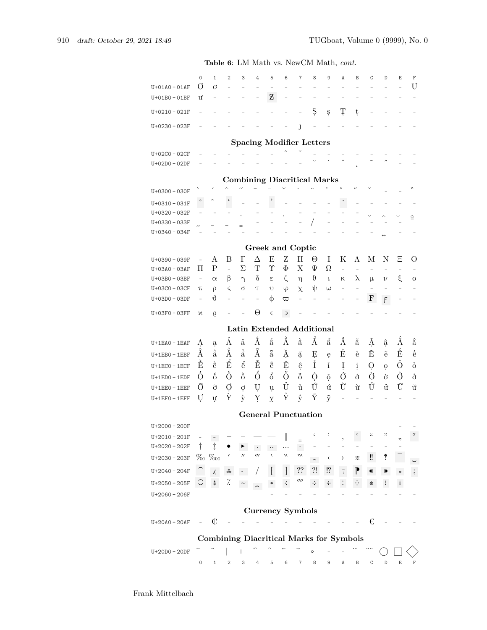|                   | $\mathsf{O}\xspace$ | 1                                              | $\overline{2}$           | 3                        | 4                                    | 5                          | 6                 | 7                                                  | 8         | 9                                                       | A                       | В                          | C              | D                  | E                     | $\mathbb F$        |
|-------------------|---------------------|------------------------------------------------|--------------------------|--------------------------|--------------------------------------|----------------------------|-------------------|----------------------------------------------------|-----------|---------------------------------------------------------|-------------------------|----------------------------|----------------|--------------------|-----------------------|--------------------|
| $U+01A0-01AF$     | Ø                   | d                                              |                          |                          |                                      |                            |                   |                                                    |           |                                                         |                         |                            |                |                    |                       | U                  |
| $U + 01B0 - 01BF$ | ư                   | $\overline{\phantom{a}}$                       |                          |                          |                                      | Z                          |                   |                                                    |           |                                                         |                         |                            |                |                    |                       |                    |
| $U + 0210 - 021F$ |                     |                                                |                          |                          |                                      |                            |                   |                                                    | Ş         | Ş                                                       | Ţ                       | ţ                          |                |                    |                       |                    |
|                   |                     |                                                |                          |                          |                                      |                            |                   |                                                    |           |                                                         |                         |                            |                |                    |                       |                    |
| $U + 0230 - 023F$ |                     |                                                |                          |                          |                                      |                            |                   | J                                                  |           |                                                         |                         |                            |                |                    |                       |                    |
|                   |                     |                                                |                          |                          |                                      |                            |                   | <b>Spacing Modifier Letters</b>                    |           |                                                         |                         |                            |                |                    |                       |                    |
|                   |                     |                                                |                          |                          |                                      |                            |                   |                                                    |           |                                                         |                         |                            |                |                    |                       |                    |
| U+02C0-02CF       |                     |                                                |                          |                          |                                      |                            |                   |                                                    |           |                                                         | $\circ$                 |                            |                |                    |                       |                    |
| $U+O2DO-O2DF$     |                     |                                                |                          |                          |                                      |                            |                   |                                                    |           |                                                         |                         | $\epsilon$                 |                |                    |                       |                    |
|                   |                     |                                                |                          |                          |                                      |                            |                   | <b>Combining Diacritical Marks</b>                 |           |                                                         |                         |                            |                |                    |                       |                    |
|                   |                     |                                                |                          |                          |                                      |                            |                   |                                                    |           |                                                         |                         |                            |                |                    |                       | $\mathbf{v}$       |
| $U + 0300 - 030F$ |                     |                                                | $\boldsymbol{\zeta}$     |                          |                                      |                            |                   |                                                    |           |                                                         |                         |                            |                |                    |                       |                    |
| $U + 0310 - 031F$ | ڻ                   |                                                |                          |                          |                                      |                            |                   |                                                    |           |                                                         |                         |                            |                |                    |                       |                    |
| U+0320-032F       |                     |                                                |                          |                          |                                      |                            |                   |                                                    |           |                                                         |                         |                            |                |                    |                       | $\widehat{=}$      |
| $U + 0330 - 033F$ |                     |                                                |                          |                          |                                      |                            |                   |                                                    |           |                                                         |                         |                            |                |                    |                       |                    |
| $U + 0340 - 034F$ |                     |                                                |                          |                          |                                      |                            |                   |                                                    |           |                                                         |                         |                            |                |                    |                       |                    |
|                   |                     |                                                |                          |                          |                                      |                            |                   |                                                    |           |                                                         |                         |                            |                |                    |                       |                    |
|                   |                     |                                                |                          |                          |                                      |                            |                   | Greek and Coptic                                   |           |                                                         |                         |                            |                |                    |                       |                    |
| U+0390-039F       | $\overline{a}$      | A                                              | B                        | $\Gamma$                 | Δ                                    | E                          | Ζ                 | H                                                  | Θ         | Ι                                                       | Κ                       | Λ                          | М              | N                  | Ξ                     | O                  |
| U+03A0-03AF       | П                   | $\mathbf P$                                    | $\overline{\phantom{0}}$ | Σ                        | Т                                    | Υ                          | Φ                 | X                                                  | Ψ         | Ω                                                       | $\overline{a}$          | $\overline{\phantom{0}}$   | $\overline{a}$ |                    |                       |                    |
| U+03B0-03BF       | $\qquad \qquad -$   | $\alpha$                                       | β                        | $\gamma$                 | δ                                    | ε                          | ζ                 | η                                                  | $\theta$  | ı                                                       | κ                       | $\lambda$                  | μ              | ν                  | ξ                     | $\circ$            |
| U+03C0-03CF       | π                   | ρ                                              | ς                        | σ                        | Τ                                    | v                          | φ                 | $\chi$                                             | ψ         | ω                                                       | $\overline{a}$          |                            |                |                    |                       |                    |
| U+03D0-03DF       | $\overline{a}$      | $\vartheta$                                    |                          |                          |                                      | Ф                          | $\varpi$          |                                                    |           |                                                         |                         |                            | F              | F                  |                       |                    |
| U+03F0-03FF       | Ν                   | 0                                              |                          |                          | $\Theta$                             | $\epsilon$                 | Э                 |                                                    |           |                                                         |                         |                            |                |                    |                       |                    |
|                   |                     |                                                |                          |                          |                                      |                            |                   | Latin Extended Additional                          |           |                                                         |                         |                            |                |                    |                       |                    |
|                   |                     |                                                |                          |                          | Á                                    |                            |                   |                                                    |           |                                                         |                         |                            |                |                    |                       |                    |
| $U+1EAO-1EAF$     | Ą                   | ą                                              | Á                        | $\mathring{a}$           |                                      | $\hat{\hat{\mathbf{a}}}$   | À                 | $\grave{\hat{\rm a}}$                              | Å         | $\hat{\hat{\mathbf{a}}}$                                | Â                       | $\tilde{\hat{\mathbf{a}}}$ | Â              | ậ                  | Ă                     | å                  |
| $U+1EBO - 1EBF$   | À                   | $\dot{\tilde{\mathrm{a}}}$                     | $\rm \AA$                | $\ddot{a}$               | $\tilde{\AA}$                        | $\tilde{\rm a}$            | Ă                 | ặ                                                  | Ė         | ę                                                       | $\mathring{\mathbf{E}}$ | ê                          | Ĕ              | $\tilde{e}$        | É                     | $\acute{\text{e}}$ |
| $U+1ECO-1ECF$     | È                   | $\grave{\hat{\mathrm{e}}}$                     | $\hat{\hat{\mathbf{E}}}$ | $\hat{\hat{\mathrm{e}}}$ | Ê                                    | $\tilde{\hat{\mathbf{e}}}$ | Ê                 | $\hat{\mathbf{e}}$                                 | $\hat{I}$ | $\stackrel{\scriptscriptstyle ?}{\scriptscriptstyle 1}$ | ļ                       | į                          | Ò              | $\mathbf{o}$       | Ŏ                     | $\ddot{\text{o}}$  |
| $U+1EDO-1EDF$     | Ó                   | $\acute{\text{o}}$                             | Ò                        | ò                        | Ő                                    | $\hat{6}$                  | Õ                 | $\tilde{\hat{\mathbf{o}}}$                         | Ô         | ộ                                                       | Ő                       | $\acute{o}$                | Ò              | ò                  | Ő                     | ở                  |
|                   | Õ                   |                                                |                          |                          |                                      |                            | Ů                 | ů                                                  | Ú         | ứ                                                       | Ù                       | ù                          | Ů              | ử                  | Ũ                     |                    |
| $U+1EEO - 1EEF$   |                     | õ                                              | Ó                        | $\mathcal{O}$            | U                                    | u                          |                   |                                                    |           |                                                         |                         |                            |                |                    |                       | ữ                  |
| $U+1EFO - 1EFF$   | U                   | ư                                              | Ý                        | ý                        | Y                                    | У.                         | Ý                 | ŷ                                                  | Ŷ         | $\tilde{y}$                                             |                         |                            |                |                    |                       |                    |
|                   |                     |                                                |                          |                          |                                      |                            |                   | <b>General Punctuation</b>                         |           |                                                         |                         |                            |                |                    |                       |                    |
| U+2000-200F       |                     |                                                |                          |                          |                                      |                            |                   |                                                    |           |                                                         |                         |                            |                |                    |                       |                    |
| $U+2010-201F$     |                     |                                                |                          |                          |                                      |                            | ∥                 |                                                    |           |                                                         |                         |                            | 44             | "                  |                       | $^{\prime}$        |
| U+2020-202F       | $\dagger$           | $\ddagger$                                     |                          |                          |                                      |                            |                   | $=$                                                |           |                                                         |                         |                            |                |                    | "                     |                    |
|                   |                     |                                                |                          | $^{\prime\prime}$        | $\bullet$<br>$^{\prime\prime\prime}$ | $\cdots$                   | $^{\prime\prime}$ | $\langle \cdot \rangle$<br>$^{\prime\prime\prime}$ |           |                                                         |                         |                            |                | $\ddot{\text{ }'}$ |                       |                    |
| $U + 2030 - 203F$ | $\%$                | $\%$ 00                                        |                          |                          |                                      |                            |                   |                                                    |           | ⟨                                                       | ≻                       | ⋇                          | ‼              |                    |                       |                    |
| $U+2040 - 204F$   |                     | $\lambda^-$                                    | ₩                        |                          |                                      |                            |                   | ??                                                 | ?!        | !?                                                      |                         | P                          | Œ              | D                  |                       |                    |
| $U+2050 - 205F$   | C                   | $\ast$                                         | %                        |                          |                                      |                            |                   | $^{\prime\prime\prime\prime}$                      | ÷         | ٠į٠                                                     |                         | ÷                          | #              | $\ddot{\cdot}$     | ÷                     |                    |
| $U+2060 - 206F$   |                     |                                                |                          |                          |                                      |                            |                   |                                                    |           |                                                         |                         |                            |                |                    |                       |                    |
|                   |                     |                                                |                          |                          |                                      |                            |                   | <b>Currency Symbols</b>                            |           |                                                         |                         |                            |                |                    |                       |                    |
|                   |                     |                                                |                          |                          |                                      |                            |                   |                                                    |           |                                                         |                         |                            |                |                    |                       |                    |
| $U+20A0-20AF$     |                     | ¢                                              |                          |                          |                                      |                            |                   |                                                    |           |                                                         |                         |                            | €              |                    |                       |                    |
|                   |                     | <b>Combining Diacritical Marks for Symbols</b> |                          |                          |                                      |                            |                   |                                                    |           |                                                         |                         |                            |                |                    |                       |                    |
| $U+20D0-20DF$     |                     |                                                |                          |                          |                                      |                            |                   |                                                    | $\circ$   |                                                         |                         |                            |                |                    |                       |                    |
|                   |                     |                                                |                          |                          |                                      |                            |                   |                                                    | 8         |                                                         |                         |                            |                | $\mathbb D$        | $\mathop{}\mathbb{E}$ | F                  |
|                   | 0                   | 1                                              | 2                        | 3                        | 4                                    | 5                          | 6                 | 7                                                  |           | 9                                                       | Α                       | B                          | C              |                    |                       |                    |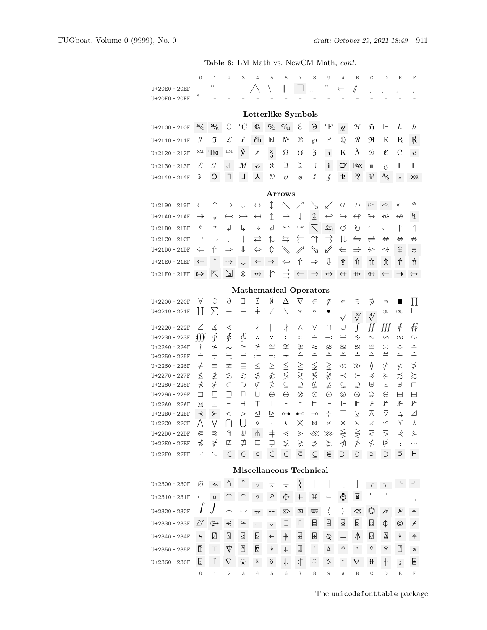|                                    |                          | <b>Table 6:</b> LM Math vs. New M Math, <i>cont.</i>                     |                                       |                          |                            |                                    |                               |                                 |                                      |                   |                           |                      |                                 |                                        |                        |                           |
|------------------------------------|--------------------------|--------------------------------------------------------------------------|---------------------------------------|--------------------------|----------------------------|------------------------------------|-------------------------------|---------------------------------|--------------------------------------|-------------------|---------------------------|----------------------|---------------------------------|----------------------------------------|------------------------|---------------------------|
|                                    | 0                        | $\mathbf{1}$                                                             | $\overline{2}$                        | 3                        | 4                          | 5                                  | 6                             | $\overline{7}$                  | 8                                    | 9                 | A                         | B                    | C                               | D                                      | Ε                      | F                         |
| U+20E0-20EF                        |                          |                                                                          |                                       |                          |                            |                                    | II                            |                                 |                                      |                   | ←                         | //                   |                                 |                                        |                        |                           |
| $U+20F0-20FF$                      |                          |                                                                          |                                       |                          |                            |                                    |                               |                                 |                                      |                   |                           |                      |                                 |                                        |                        |                           |
|                                    |                          |                                                                          |                                       |                          |                            |                                    | Letterlike Symbols            |                                 |                                      |                   |                           |                      |                                 |                                        |                        |                           |
| $U+2100-210F$                      | $a_C$                    | $a\!_{\rm S}$                                                            | C                                     | $\rm ^{\circ}C$          | $\Phi$                     | $\mathrm{c}\!/\!{}_{\!\mathrm{O}}$ | $\frac{c}{u}$                 | ${\mathcal E}$                  | $\Theta$                             | °F                | $\mathcal{G}$             | H                    | Ñ                               | Н                                      | $\boldsymbol{h}$       | ħ                         |
| $U + 2110 - 211F$                  | J                        | J                                                                        | L                                     | $\ell$                   | łЪ                         | $\mathbb N$                        | N <sup>2</sup>                | ℗                               | ω                                    | $\mathbb P$       | $\mathbb{Q}$              | $\mathcal R$         | R                               | $\mathbb R$                            | R                      | R.                        |
| $U+2120 - 212F$                    | SМ                       | TEL                                                                      | TM                                    | ý                        | $\mathbb Z$                | $\frac{7}{3}$                      | Ω                             | Ω                               | $\overline{3}$                       | $\mathbf{1}$      | Κ                         | Å                    | B                               | ¢                                      | е                      | $\pmb{\mathscr{e}}$       |
| $U + 2130 - 213F$                  | $\mathcal E$             | F                                                                        | Ł                                     | М                        | $\boldsymbol{\mathcal{C}}$ | K                                  | ב                             | λ                               | J                                    | $\mathbf{i}$      | ♂                         | FAX                  | Ш                               | δ                                      | Г                      | П                         |
| $U+2140-214F$                      | ⅀                        | C.                                                                       | ٦                                     | Ц                        | Υ                          | $D \Box$                           | d                             | e                               | ů                                    | $\hat{J}$         | ቲ                         | $\sqrt{2}$           | ₩                               | $A_{\rm /S}$                           | E                      | 000                       |
|                                    |                          |                                                                          |                                       |                          |                            |                                    | Arrows                        |                                 |                                      |                   |                           |                      |                                 |                                        |                        |                           |
| $U+2190-219F$                      | $\leftarrow$             | ↑                                                                        | $\rightarrow$                         | ↓                        | $\leftrightarrow$          | $\updownarrow$                     | ↖                             |                                 |                                      | $\swarrow$        | $\leftrightarrow$         | $\nrightarrow$       | $\sim$                          | $\sim$                                 | ↞                      | 个                         |
| $U + 21A0 - 21AF$                  | $\rightarrow$            | ↡                                                                        | $\leftrightarrow$                     | $\rightarrowtail$        | $\leftarrow$               | $\hat{1}$                          | $\mapsto$                     | Ţ                               | $\hat{\pm}$                          | $\hookleftarrow$  | $\hookrightarrow$         | $\leftrightarrow$    | ↬                               | ↭                                      | $\leftrightarrow$      | $\overline{\mathcal{V}}$  |
| $U+21B0-21BF$                      | ↰                        | ↱                                                                        | ↵                                     | Ц                        | ↴                          | $\downarrow$                       | $\sim$                        | $\curvearrowright$              | Κ                                    | 凶                 | ত                         | ℧                    | $\overline{\phantom{0}}$        | $\overline{\phantom{0}}$               | $\Gamma$               | 1                         |
| $U+21CO-21CF$                      | $\overline{\phantom{a}}$ | $\overline{\phantom{a}}$                                                 | L                                     | $\downarrow$             | $\rightleftarrows$         | ⇅                                  | $\leftrightarrows$            | ⇇                               | ⇈                                    | ⇉                 | ⇊                         | $\leftrightharpoons$ | $\rightleftharpoons$            | ⇍                                      | ⇔                      | $\nRightarrow$            |
| U+21D0-21DF                        | $\Leftarrow$             | ⇑                                                                        | $\Rightarrow$                         | ⇓                        | $\Leftrightarrow$          | ⇕                                  | R                             | $\mathbb{Z}$                    |                                      |                   | ⇚                         | $\Rightarrow$        | ↢                               | ∿≻                                     | ⇞                      | ⇟                         |
| $U+21E0-21EF$                      | ←÷                       | ↑                                                                        | --→                                   | $\div$                   | $\leftarrow$               | $\rightarrow$                      | ⇐                             | ⇧                               | $\Rightarrow$                        | ⇩                 | 숍                         | ↥                    | ↥                               | ⇭                                      | 畚                      | 츐                         |
| $U+21F0-21FF$                      | ⇰                        | 区                                                                        | $\overline{\mathcal{A}}$              | ⇕                        | $\rightarrow$              | ↓↑                                 |                               | $\leftarrow$                    | $\rightarrow$                        | $\leftrightarrow$ | ⇺                         | ₩                    | ∰                               | ←                                      | $\rightarrow$          | ↔                         |
|                                    |                          |                                                                          |                                       |                          |                            |                                    | <b>Mathematical Operators</b> |                                 |                                      |                   |                           |                      |                                 |                                        |                        |                           |
| $U+2200 - 220F$                    | A                        | C                                                                        | $\partial$                            | Ε                        | ∄                          | Ø                                  | Δ                             | ▽                               | $\in$                                | ∉                 | $\in$                     | ∍                    | ∌                               | ∍                                      |                        | П                         |
| $U+2210-221F$                      | П                        | $\sum$                                                                   | —                                     | 干                        | $\dotplus$                 | Ϊ                                  |                               | $\ast$                          | O                                    |                   |                           | $\sqrt[3]{}$         | $\sqrt[4]{}$                    | $\propto$                              | $\infty$               |                           |
| $U+2220 - 222F$                    | Z                        | ∡                                                                        | ∢                                     |                          | ł                          | II                                 | ł                             | Λ                               | V                                    | ∩                 | U                         | ſ                    | ∬                               | ∭                                      | ∮                      | ∯                         |
| $U+2230 - 223F$                    | ∰                        | $\oint$                                                                  | ∲                                     | ∲                        | А,                         | ÷                                  | :                             | $\vdots$                        | $\stackrel{\centerdot}{-}$           | <sup>-</sup>      | $\div$                    | ∻                    | $\sim$                          | S                                      | $\sim$                 | ∿                         |
| $U+2240 - 224F$                    | ₹                        | ≁                                                                        | $\overline{\sim}$                     | $\simeq$                 | ≄                          | $\cong$                            | ≆                             | ≇<br>≜                          | $\approx$<br>$\mathrel{\widehat{=}}$ | ≉<br>$\triangleq$ | ≊<br>$\stackrel{\vee}{=}$ | ≋<br>≛               | ≌<br>$\triangleq$               | $\asymp$<br>$\stackrel{\text{def}}{=}$ | ≎<br>$\stackrel{m}{=}$ | ≏<br>$\stackrel{?}{=}$    |
| $U+2250 - 225F$<br>$U+2260 - 226F$ | ≐<br>$\neq$              | $\div$<br>$\equiv$                                                       | $\stackrel{\cdot}{=}$<br>$\not\equiv$ | ≓<br>Ξ                   | $:=$<br>$\leq$             | $=$ :<br>$\geq$                    | $\equiv$                      |                                 | $\lneqq$                             |                   | $\ll$                     | $\gg$                | Ŏ                               | $\neq$                                 | ≮                      | $\, \neq\,$               |
| $U+2270 - 227F$                    | ≰                        | ≱                                                                        | $\lesssim$                            | $\gtrsim$                | ≴                          | ≵                                  | $\leq$                        | $\geq$                          | ≸                                    | ≥≠≹               | ≺                         | ≻                    | ≼                               | ≽                                      | ≾                      | $\succsim$                |
| $U+2280 - 228F$                    | $\star$                  | $\hspace{0.1cm}\not\hspace{0.1cm}\not\hspace{0.1cm}\not\hspace{0.1cm}\,$ | $\subset$                             | $\supset$                | ⊄                          | ⊅                                  | $\subseteq$                   | $\supseteq$                     | ⊈                                    | ⊉                 | ⊊                         | $\supsetneq$         | ⊌                               | ⊍                                      | ⊎                      | Е                         |
| U+2290-229F                        | ⊐                        | ⊑                                                                        | $\supseteq$<br>⊢                      | П                        | П                          | $\oplus$<br>$\perp$                | θ<br>F                        | ⊗<br>⊧                          | 0<br>⊨                               | ⊙<br>⊩            | ⊚<br>⊪                    | ⊛<br>⊫               | ⊜                               | Θ<br>⊭                                 | ⊞<br>⊮                 | A<br>∦                    |
| $U + 22A0 - 22AF$<br>U+22B0-22BF   | ⊠<br>⊰                   | ⊡<br>$\succ$                                                             | ◁                                     | ⊣<br>▷                   | т<br>◁                     | $\geq$                             | $\circ\hspace{-2.5pt}\bullet$ | $\bullet\hspace{-4pt}\multimap$ | $\overline{\phantom{0}}$             | 구드                | Т                         | V                    | ¥<br>⊼                          | $\triangledown$                        | ⇘                      | Δ                         |
| U+22C0 – 22CF                      |                          |                                                                          |                                       |                          | ♦                          |                                    | $^\star$                      | ⋇                               | M                                    | ⋉                 | X                         | ⋋                    | ⋌                               | $\leq$                                 | Υ                      | 人                         |
| U+22D0-22DF                        | ⋐                        | ⋑                                                                        | ⋒                                     | ⋓                        | ⋔                          | $\#$                               | $\lessdot$                    | $\geq$                          | $\ll$                                | ⋙                 | $\lessgtr$                | $\gtrless$           | $\leq$                          | $\geq$                                 | ⋞                      | ⋟                         |
| U+22E0 - 22EF                      | ⊀                        | ⊁                                                                        | ⋢                                     | ⊉                        | ⋤                          | $\supsetneq$                       | $\lesssim$                    | $\gtrapprox$                    | ⋨                                    | $\succnsim$       | ⋪                         | ⋫                    | ⋬                               | 毕                                      | $\vdots$               | $\cdots$                  |
| U+22F0-22FF                        | $\cdot$                  | ٠.                                                                       | $\in$                                 | $\in$                    | $\in$                      | Ė                                  | $\overline{\epsilon}$         | $\bar{\epsilon}$                | $\mathrel{\underline{\in}}$          | $\in$             | $\Rightarrow$             | Ð.                   | $\ominus$                       | Б                                      | E.                     | E                         |
|                                    |                          |                                                                          |                                       |                          |                            |                                    | Miscellaneous Technical       |                                 |                                      |                   |                           |                      |                                 |                                        |                        |                           |
| $U+2300 - 230F$                    | Ø                        | $\!\!\!/$                                                                | △                                     |                          | $\vee$                     | $\overline{\wedge}$                | ₹                             | ξ                               |                                      |                   |                           |                      | $\sim 10^{-1}$ , $\sim 10^{-1}$ |                                        | - 5                    | $\mathbb{R}^{\mathbb{N}}$ |
| $U+2310 - 231F$                    | $\overline{\phantom{0}}$ | $\Box$                                                                   |                                       | $\supseteq$              | ∇                          | Q                                  | ⊕                             | ♯.                              | ₩                                    |                   | ☺                         | ¥                    | г                               |                                        | L                      | $\blacksquare$            |
| $U+2320 - 232F$                    |                          | J                                                                        |                                       |                          |                            | $\mathrel{\mathop:}=$              | ⊠                             | ⊠                               | ₩                                    | $\langle$         | $\rangle$                 | $\infty$             | O                               | Þ.                                     | Q                      | $\equiv$                  |
| $U+2330 - 233F$                    | ŊΛ                       | ф→                                                                       | $\Rightarrow$                         | $\overline{\phantom{0}}$ | $\overline{\phantom{a}}$   | $\vee$                             | I                             | Ш                               | 目                                    | ₽                 | ◙                         | $\Box$               | p.                              | Φ                                      | $\circledcirc$         | F.                        |
| U+2340 - 234F                      | $\overline{A}$           | Ø                                                                        | $\boxtimes$                           | ₿                        | ₿                          | $\overline{\phantom{a}}$           | $\,+\,$                       | k                               | b                                    | $\varphi$         | ┷                         | Д                    | M                               |                                        | ≜                      | 仐                         |
| $U+2350 - 235F$                    | −                        | $\top$                                                                   | ∀                                     | ∆                        | ⊽                          | $\overline{\phi}$                  | ⇟                             | ⋓                               | $\frac{1}{2}$                        | ▵                 | $\frac{\Diamond}{\ }$     | $\frac{0}{1}$        | $\overline{\circ}$              | ၐ                                      | ∐                      | $^{\circ}$                |
| $U+2360 - 236F$                    | ⊡                        | Ϋ                                                                        | Ÿ                                     | ⋇                        | ö                          | ö                                  | Ψ                             | ¢                               | $\ddot{\sim}$                        | ゞ                 | $\overline{2}$            | ∀                    | θ                               | $\boldsymbol{\dagger}$                 | $\ddot{\cdot}$         | ₽                         |

The unicodefonttable package

0 1 2 3 4 5 6 7 8 9 A B C D E F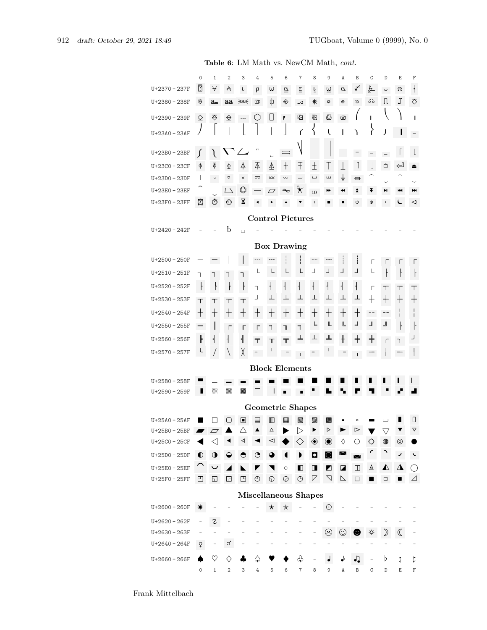|                                                                                                                                                                                                                                                                                                                | $\mathsf{O}\xspace$           | 1                        | 2                        | 3                        | 4                        | 5                    | 6                               | $\overline{\mathcal{I}}$  | 8                        | 9                               | Α                | B                                             | C                        | D                  | Ε                  | F                               |
|----------------------------------------------------------------------------------------------------------------------------------------------------------------------------------------------------------------------------------------------------------------------------------------------------------------|-------------------------------|--------------------------|--------------------------|--------------------------|--------------------------|----------------------|---------------------------------|---------------------------|--------------------------|---------------------------------|------------------|-----------------------------------------------|--------------------------|--------------------|--------------------|---------------------------------|
| U+2370 - 237F                                                                                                                                                                                                                                                                                                  | $\overline{?}$                | $\forall$                | A                        | $\mathbf{L}$             | $\rho$                   | $\omega$             | $\underline{\alpha}$            | $\underline{\epsilon}$    | $\underline{\mathsf{L}}$ | $\underline{\omega}$            | $\alpha$         | ✓                                             | 乒                        | Ļ,                 | 요                  | $\frac{1}{1}$                   |
| $U+2380 - 238F$                                                                                                                                                                                                                                                                                                | ą                             | <u>a</u>                 | $\underline{aa}$         | ∋a∈                      | $\omega$                 | ф                    | ◈                               | ∠                         | ₩                        | ⊕                               | $^\circledR$     | Ø                                             | စ်ဝ                      | Л                  | ∬                  | ឃ                               |
| U+2390 - 239F                                                                                                                                                                                                                                                                                                  | $\Diamond$                    | ₹                        | $\hat{\triangleright}$   | ÷,                       | $\bigcirc$               | $\Box$               | 1                               | ₽                         | 圈                        | ₫                               | ▨                |                                               | I.                       |                    |                    | ı                               |
| U+23A0-23AF                                                                                                                                                                                                                                                                                                    |                               |                          |                          |                          |                          |                      |                                 | $\sqrt{ }$                | ՜                        | $\mathbf{I}$                    | I                | Ι                                             | ì                        | J                  |                    | $\equiv$                        |
| U+23B0-23BF                                                                                                                                                                                                                                                                                                    | ſ                             |                          |                          |                          | Ξ                        |                      | $=$                             |                           |                          |                                 |                  |                                               |                          |                    |                    |                                 |
| U+23C0-23CF                                                                                                                                                                                                                                                                                                    |                               | Ф                        | $\Phi$                   | 4                        | Δ                        |                      | $^{+}$                          | $\overline{\mathcal{F}}$  | $\pm$                    |                                 | T                | 1                                             | J                        | 的                  | €                  |                                 |
| U+23D0-23DF                                                                                                                                                                                                                                                                                                    | φ<br>$\overline{\phantom{a}}$ |                          | $\overline{\cup}$        | $\overline{\phantom{a}}$ | ञ्ज                      | ₹<br>$\simeq$        | $\widetilde{\phantom{a}}$       | $\overline{\phantom{0}}$  | $\overline{\phantom{a}}$ | $\overline{1}$<br>ш             | ╧                |                                               |                          |                    |                    |                                 |
| U+23E0-23EF                                                                                                                                                                                                                                                                                                    |                               | $\backsim$               | $\Box$                   | Ô                        |                          |                      | $\sim$                          | ⊁                         |                          | ⋫                               | ↤                | ⊟<br>≵                                        | ¥                        | HI.                | ю                  | Ħ                               |
| U+23F0-23FF                                                                                                                                                                                                                                                                                                    | Φ                             | $\odot$                  | $\odot$                  | ⊠                        | $\overline{\phantom{0}}$ | $\varpi$             |                                 |                           | $10\,$<br>II             |                                 |                  | ပ                                             | $\mathbb O$              | $\blacksquare$     |                    | ⋖                               |
|                                                                                                                                                                                                                                                                                                                |                               |                          |                          |                          |                          |                      |                                 |                           |                          |                                 |                  |                                               |                          |                    |                    |                                 |
| <b>Control Pictures</b><br>b<br>$U+2420 - 242F$                                                                                                                                                                                                                                                                |                               |                          |                          |                          |                          |                      |                                 |                           |                          |                                 |                  |                                               |                          |                    |                    |                                 |
| <b>Box Drawing</b>                                                                                                                                                                                                                                                                                             |                               |                          |                          |                          |                          |                      |                                 |                           |                          |                                 |                  |                                               |                          |                    |                    |                                 |
| ļ<br>$U+2500 - 250F$<br>$\overline{\phantom{a}}$<br>$\hspace{0.05cm} \cdots$<br>÷,<br>г<br>г<br>г<br>L<br>L<br>L<br>L<br>L                                                                                                                                                                                     |                               |                          |                          |                          |                          |                      |                                 |                           |                          |                                 |                  |                                               |                          |                    |                    |                                 |
| $\perp$<br>$\overline{\phantom{a}}$<br>F<br>┙<br>Ł<br>$U+2510-251F$<br>Ł<br>٦<br>٦<br>٦<br>٦<br>$\overline{1}$<br>$\mathsf{F}$<br>ŀ<br>$\frac{1}{2}$<br>$\overline{\mathcal{L}}$<br>$\mathsf{F}$<br>$\overline{1}$<br>$\overline{\phantom{a}}$<br>ŀ<br>$\overline{1}$<br>$\mathsf{I}$<br>٦<br>Г<br>Τ<br>Т<br>Т |                               |                          |                          |                          |                          |                      |                                 |                           |                          |                                 |                  |                                               |                          |                    |                    |                                 |
|                                                                                                                                                                                                                                                                                                                |                               |                          |                          |                          |                          |                      |                                 |                           |                          |                                 |                  |                                               |                          |                    |                    |                                 |
| $U+2520 - 252F$                                                                                                                                                                                                                                                                                                |                               |                          |                          |                          |                          |                      |                                 |                           |                          |                                 |                  |                                               |                          |                    |                    |                                 |
| $U+2530 - 253F$                                                                                                                                                                                                                                                                                                | Τ                             | Τ                        | Т                        | Τ                        |                          | $\perp$              | $\pm$                           | $\overline{\phantom{a}}$  | $\perp$                  | $\perp$                         | $\perp$          |                                               | $\pm$                    | $\pm$              | $\hspace{0.1mm} +$ | $\hspace{.1cm} + \hspace{.1cm}$ |
| $U+2540 - 254F$                                                                                                                                                                                                                                                                                                | $\hspace{0.1mm} +$            | $\hspace{0.1mm} +$       | $\pm$                    | $\hspace{0.1mm} +$       | $^\mathrm{+}$            | ┭                    | $\hspace{.1cm} + \hspace{.1cm}$ | $\hspace{0.1mm} +$        | $\hspace{0.1mm} +$       | $\hspace{0.1mm} +$              | $\pm$            | $\hspace{0.1mm} +$                            | $\overline{\phantom{a}}$ | $-$                | L<br>L             | ı<br>$\mathbf{I}$               |
| $U+2550 - 255F$                                                                                                                                                                                                                                                                                                | $\overline{\phantom{0}}$      | I                        | $\overline{\Gamma}$      | Г                        | $\mathbb F$              | ╕                    | ٦                               | ╗                         | F                        | L                               | L                | $\mathord{\hspace{1pt}\text{--}\hspace{1pt}}$ | $\blacksquare$           | $\blacksquare$     |                    | ╟                               |
| $U+2560 - 256F$                                                                                                                                                                                                                                                                                                | $\parallel$                   | ╡                        | ╢                        | ╣                        | $\top$                   | $\mathbb{T}$         | $\overline{\mathbb{T}}$         | $\, = \,$                 | ╨                        | ┻                               | $\pm$            | $^\mathrm{+}$                                 | $\frac{1}{\pm}$          | Г                  | ٦.                 |                                 |
| $U+2570-257F$                                                                                                                                                                                                                                                                                                  | L                             |                          | $\backslash$             | χ                        |                          |                      |                                 | $\mathbb{F}^{\mathbb{Z}}$ | $\overline{a}$           |                                 |                  | $\Box$                                        |                          |                    |                    | $\mathbf{I}$                    |
|                                                                                                                                                                                                                                                                                                                |                               |                          |                          |                          |                          |                      | <b>Block Elements</b>           |                           |                          |                                 |                  |                                               |                          |                    |                    |                                 |
| $U+2580 - 258F$                                                                                                                                                                                                                                                                                                |                               |                          |                          |                          |                          |                      |                                 |                           |                          |                                 |                  |                                               |                          |                    |                    |                                 |
| $U+2590 - 259F$                                                                                                                                                                                                                                                                                                | ш                             | 羉                        | 羉                        | 羉                        |                          |                      |                                 | Ξ                         |                          |                                 |                  |                                               |                          |                    |                    |                                 |
|                                                                                                                                                                                                                                                                                                                |                               |                          |                          |                          |                          |                      | <b>Geometric Shapes</b>         |                           |                          |                                 |                  |                                               |                          |                    |                    |                                 |
| $U+25A0 - 25AF$                                                                                                                                                                                                                                                                                                |                               |                          | ⋂                        | ▣                        | 目                        | $\hfill\blacksquare$ | 疅                               | ▧                         | <b>III</b>               | ×                               |                  |                                               |                          |                    |                    | П                               |
| $U+25B0 - 25BF$                                                                                                                                                                                                                                                                                                | $\blacksquare$                | $\Box$                   |                          | Δ                        |                          | Δ                    |                                 | ▷                         |                          | D                               |                  | ▷                                             |                          | $\bigtriangledown$ |                    | ▽                               |
| U+25C0-25CF                                                                                                                                                                                                                                                                                                    |                               | $<$ l                    |                          | ◁                        |                          | ◁                    |                                 | $\leftrightarrow$         | ◈                        | $\textcircled{\small{\bullet}}$ | ♦                | O                                             | ଼                        | ◍                  | ⊚                  |                                 |
| $U+25D0-25DF$                                                                                                                                                                                                                                                                                                  | $\bullet$                     | $\bullet$                | ◒                        | $\bullet$                | $\mathbf{\Theta}$        | ◕                    |                                 |                           | $\bullet$                | $\circ$                         | $\cap$           | $\cup$                                        |                          |                    | ╯                  | ╰                               |
| $U+25E0 - 25EF$                                                                                                                                                                                                                                                                                                | $\cap$                        | $\cup$                   | ◢                        |                          | ◤                        | ◥                    | $\circ$                         | П                         | $\Box$                   | $\blacksquare$                  | $\blacksquare$   | $\hfill\Box$                                  | Δ                        | $\blacktriangle$   | $\Delta$           | ()                              |
| U+25F0-25FF                                                                                                                                                                                                                                                                                                    | 凹                             | 6                        | ◲                        | $\Box$                   | $\bigoplus$              | $\Theta$             | $\bigcirc$                      | $\bigoplus$               | $\triangledown$          | V                               | $\triangleright$ | $\Box$                                        |                          | □                  |                    | Δ                               |
|                                                                                                                                                                                                                                                                                                                |                               |                          |                          | Miscellaneous Shapes     |                          |                      |                                 |                           |                          |                                 |                  |                                               |                          |                    |                    |                                 |
| $U+2600 - 260F$                                                                                                                                                                                                                                                                                                |                               |                          |                          |                          |                          | $\star$              | ★                               |                           |                          | $\odot$                         |                  |                                               |                          |                    |                    |                                 |
| $U+2620 - 262F$                                                                                                                                                                                                                                                                                                |                               | г                        |                          |                          |                          |                      |                                 |                           |                          |                                 |                  |                                               |                          |                    |                    |                                 |
| $U+2630 - 263F$                                                                                                                                                                                                                                                                                                | $\qquad \qquad -$             | $\overline{\phantom{0}}$ | $\overline{\phantom{0}}$ |                          |                          |                      |                                 |                           |                          | ☺                               | $_{\odot}$       |                                               |                          | 》                  | $\mathbb C$        |                                 |
| $U+2640 - 264F$                                                                                                                                                                                                                                                                                                | ₽                             | $\overline{\phantom{0}}$ | σ                        |                          |                          |                      |                                 |                           |                          |                                 |                  |                                               |                          |                    |                    |                                 |
| $U+2660 - 266F$                                                                                                                                                                                                                                                                                                |                               | $\heartsuit$             | ♦                        |                          | ♤                        |                      |                                 | ஃ                         |                          |                                 |                  |                                               |                          | Þ                  | q                  | $\sharp$                        |
|                                                                                                                                                                                                                                                                                                                | $\mathsf{O}\xspace$           | $1\,$                    | $\,2$                    | 3                        | 4                        | 5                    | 6                               | $\overline{7}$            | 8                        | 9                               | Α                | B                                             | C                        | D                  | Е                  | $\mathbf F$                     |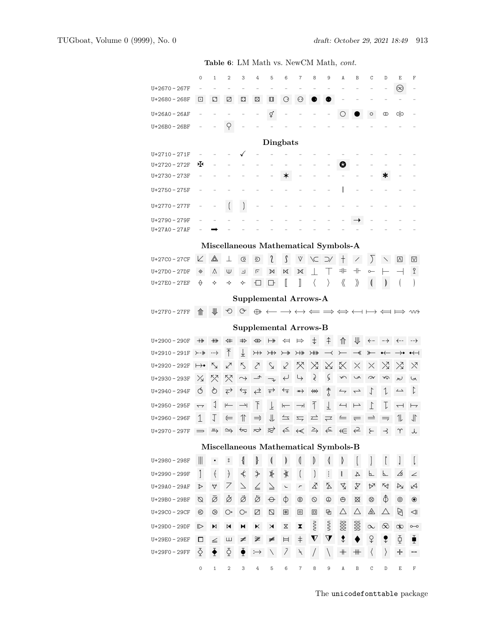|                                                                                                                                                                                                                                                                          | $\circ$                  | $\mathbf{1}$          | $\overline{2}$                       | 3                        | 4                 | 5                       | 6                                                  | 7                        | 8                             | 9                    | A                        | B                        | C                    | D                           | E                                                                                                                                                            | F                          |
|--------------------------------------------------------------------------------------------------------------------------------------------------------------------------------------------------------------------------------------------------------------------------|--------------------------|-----------------------|--------------------------------------|--------------------------|-------------------|-------------------------|----------------------------------------------------|--------------------------|-------------------------------|----------------------|--------------------------|--------------------------|----------------------|-----------------------------|--------------------------------------------------------------------------------------------------------------------------------------------------------------|----------------------------|
| U+2670 - 267F                                                                                                                                                                                                                                                            |                          |                       |                                      |                          |                   |                         |                                                    |                          |                               |                      |                          |                          |                      |                             | $\circledcirc$                                                                                                                                               |                            |
| $U+2680 - 268F$                                                                                                                                                                                                                                                          | ⊡                        | ⊡                     | ⊡                                    | ⊡                        | ⊡                 | ∷                       | O                                                  | ⊙                        |                               |                      |                          |                          |                      |                             |                                                                                                                                                              |                            |
| U+26A0 - 26AF                                                                                                                                                                                                                                                            |                          |                       |                                      |                          |                   | q                       |                                                    |                          |                               |                      |                          |                          | $\circ$              | ∞                           | 이어                                                                                                                                                           |                            |
| U+26B0 - 26BF                                                                                                                                                                                                                                                            |                          |                       | q                                    |                          |                   |                         |                                                    |                          |                               |                      |                          |                          |                      |                             |                                                                                                                                                              |                            |
|                                                                                                                                                                                                                                                                          |                          |                       |                                      |                          |                   |                         | <b>Dingbats</b>                                    |                          |                               |                      |                          |                          |                      |                             |                                                                                                                                                              |                            |
| $U+2710-271F$                                                                                                                                                                                                                                                            |                          |                       |                                      |                          |                   |                         |                                                    |                          |                               |                      |                          |                          |                      |                             |                                                                                                                                                              |                            |
| U+2720-272F                                                                                                                                                                                                                                                              | ж                        |                       |                                      |                          |                   |                         |                                                    |                          |                               |                      | ❸                        |                          |                      |                             |                                                                                                                                                              |                            |
| U+2730-273F                                                                                                                                                                                                                                                              |                          |                       |                                      |                          |                   |                         | ∗                                                  |                          |                               |                      |                          |                          |                      | ж                           |                                                                                                                                                              |                            |
| U+2750-275F                                                                                                                                                                                                                                                              |                          |                       |                                      |                          |                   |                         |                                                    |                          |                               |                      |                          |                          |                      |                             |                                                                                                                                                              |                            |
| U+2770-277F                                                                                                                                                                                                                                                              |                          |                       | $\left($                             | $\Big)$                  |                   |                         |                                                    |                          |                               |                      |                          |                          |                      |                             |                                                                                                                                                              |                            |
| U+2790 - 279F                                                                                                                                                                                                                                                            |                          |                       |                                      |                          |                   |                         |                                                    |                          |                               |                      |                          |                          |                      |                             |                                                                                                                                                              |                            |
| U+27A0-27AF                                                                                                                                                                                                                                                              |                          |                       |                                      |                          |                   |                         |                                                    |                          |                               |                      |                          |                          |                      |                             |                                                                                                                                                              |                            |
|                                                                                                                                                                                                                                                                          |                          |                       |                                      |                          |                   |                         |                                                    |                          |                               |                      |                          |                          |                      |                             |                                                                                                                                                              |                            |
| Miscellaneous Mathematical Symbols-A<br>$\triangle$<br>J<br>l<br>$\sum$<br>Z<br>V<br>U+27C0-27CF<br>$^+$<br>$\overline{\wedge}$<br>$\triangledown$<br>⊙<br>YC D<br>$=$<br>$+$<br>$\mathbf 2$<br>◈<br>٨<br>Ψ<br>匠<br>$\mathbb N$<br>U+27D0-27DF<br>ᅴ<br>М<br>М<br>$\circ$ |                          |                       |                                      |                          |                   |                         |                                                    |                          |                               |                      |                          |                          |                      |                             |                                                                                                                                                              |                            |
|                                                                                                                                                                                                                                                                          |                          |                       |                                      |                          |                   |                         |                                                    |                          |                               |                      |                          |                          |                      |                             |                                                                                                                                                              |                            |
| U+27E0-27EF                                                                                                                                                                                                                                                              | $\Theta$                 | ❖                     | ✧                                    | ଧ                        | Ð                 | $\Box$                  | I                                                  | I                        | $\langle$                     | $\rangle$            | 《                        | $\rangle\!\rangle$       | C                    | D                           |                                                                                                                                                              |                            |
|                                                                                                                                                                                                                                                                          |                          |                       |                                      |                          |                   |                         | <b>Supplemental Arrows-A</b>                       |                          |                               |                      |                          |                          |                      |                             |                                                                                                                                                              |                            |
| U+27F0-27FF                                                                                                                                                                                                                                                              | ⇑                        | 业                     |                                      | $\circ$ $\circ$          |                   |                         |                                                    |                          |                               |                      |                          |                          |                      |                             | $\oplus \longleftrightarrow \longleftrightarrow \Longleftarrow \Rightarrow \Longleftrightarrow \longleftrightarrow \longmapsto \Longleftrightarrow \leadsto$ |                            |
|                                                                                                                                                                                                                                                                          |                          |                       |                                      |                          |                   |                         |                                                    |                          |                               |                      |                          |                          |                      |                             |                                                                                                                                                              |                            |
|                                                                                                                                                                                                                                                                          |                          |                       |                                      |                          |                   |                         | <b>Supplemental Arrows-B</b>                       |                          |                               |                      |                          |                          |                      |                             |                                                                                                                                                              |                            |
| $U+2900 - 290F$                                                                                                                                                                                                                                                          | $+\!\!\!\rightarrow$     | $^{+\!+}$             | $\Leftrightarrow$                    | $\Rightarrow$            | ⇔                 | $\mapsto$               | $\Leftarrow$                                       | $\Rightarrow$            | $\ddagger$                    | ⇞                    | ⇑                        | ⇓                        |                      |                             | ←– –→ ←– –→                                                                                                                                                  |                            |
| $U+2910-291F$                                                                                                                                                                                                                                                            | ⊁-*                      | $\rightarrowtail$     | $\bar{\uparrow}$                     | $\overline{\uparrow}$    | $\leftrightarrow$ | $\leftrightarrow$       | $\rightarrowtail$                                  | $\overline{+*}$          | $\times$                      |                      |                          | ⊀                        | ⊁                    | $\rightarrow \leftarrow$    | →∙                                                                                                                                                           | $\rightarrow$              |
| $U+2920 - 292F$                                                                                                                                                                                                                                                          | $\mapsto\!\! \bullet$    | $\breve{\phantom{1}}$ | ↙                                    | $\zeta$                  | $\zeta$           | $\searrow$              | $\mathcal{L}$                                      | ╳                        | $\boxtimes$                   | ⋈                    | ⋉                        | X                        | $\times$             | $\boxtimes$                 | $\boxtimes$                                                                                                                                                  | $\times$                   |
| $U+2930 - 293F$                                                                                                                                                                                                                                                          | $\times$                 | ╳                     | 젓                                    | $\rightarrow$            | →                 | $\rightarrow$           | $\leftarrow$                                       | ↳                        | $\lambda$                     | Ç                    | $\sim$                   | ゝ                        | $\approx$            | Æ                           | ん                                                                                                                                                            | $\tilde{\varepsilon}$      |
| $U+2940 - 294F$                                                                                                                                                                                                                                                          | Q                        | Ò                     | $\leftrightarrow$                    | ⇆                        | $\leftrightarrow$ | $\overrightarrow{+}$    | $\overleftarrow{+}$                                | $\leftrightarrow$        | ↮                             | ↑                    | $\rightarrow$            | $\rightarrow$            | $\downarrow$         | $\downarrow$                | $\overline{\phantom{a}}$                                                                                                                                     | $\updownarrow$             |
| $U+2950 - 295F$                                                                                                                                                                                                                                                          | $\overline{\phantom{0}}$ | $\downarrow$          |                                      |                          |                   |                         |                                                    |                          |                               |                      |                          |                          |                      |                             |                                                                                                                                                              | ⊢                          |
| $U+2960 - 296F$                                                                                                                                                                                                                                                          |                          |                       | $\overline{}$                        | $\rightarrow$            | $\bar{\Gamma}$    | $\perp$                 | $\overline{}$                                      | $\rightarrow$            | $\overline{1}$                | $\overline{\top}$    | $\overline{\phantom{0}}$ | $\overline{\phantom{0}}$ | $\Gamma$             | τ                           | $\overline{\phantom{0}}$                                                                                                                                     |                            |
|                                                                                                                                                                                                                                                                          | $\perp$                  | Ţ                     | $\Leftarrow$                         | $\uparrow$               | $\Rightarrow$     | 卝                       | $\overline{\overline{\phantom{a}}\hspace{-0.5ex}}$ | $\overline{\phantom{0}}$ | ᆮ                             | $\rightleftharpoons$ | ⇒                        | $\rightleftharpoons$     | $\rightleftharpoons$ | $\Rightarrow$               | $\mathcal{I}$                                                                                                                                                | 小                          |
| $U+2970 - 297F$                                                                                                                                                                                                                                                          |                          |                       |                                      |                          |                   |                         |                                                    |                          |                               |                      |                          |                          |                      |                             |                                                                                                                                                              |                            |
|                                                                                                                                                                                                                                                                          |                          |                       |                                      |                          |                   |                         |                                                    |                          |                               |                      |                          |                          |                      |                             |                                                                                                                                                              |                            |
|                                                                                                                                                                                                                                                                          |                          |                       | Miscellaneous Mathematical Symbols-B |                          |                   |                         |                                                    |                          |                               |                      |                          |                          |                      |                             |                                                                                                                                                              |                            |
| $U+2980 - 298F$<br>U+2990 - 299F                                                                                                                                                                                                                                         | $\parallel$              | $\bullet$             | $\rm ^o$                             | {                        | }                 | ≬                       | D                                                  | ≬                        | $\begin{matrix} \end{matrix}$ | ≬                    | D                        | Ţ                        | $\frac{1}{2}$<br>⊾   | $\mathbf{r}$<br>⊾           |                                                                                                                                                              | $\left[ \right]$           |
|                                                                                                                                                                                                                                                                          | 1                        | $\langle$             | $\rangle$                            | $\overline{\mathcal{K}}$ | ≯                 | ∦                       | ∯                                                  | $\left($                 | $\Big)$                       | $\ddot{\ddot{z}}$    | š                        | 长                        |                      |                             | B                                                                                                                                                            | ∠                          |
| U+29A0-29AF                                                                                                                                                                                                                                                              | ≯                        | $\forall$             | 7                                    | 7                        | $\leq$            | $\geq$                  | $\sim$                                             | $\overline{\phantom{a}}$ | ∡                             | ጅ                    | 孓                        | X                        | ᢂ                    | $\aleph$                    | ₩                                                                                                                                                            | κ4                         |
| U+29B0-29BF<br>U+29C0-29CF                                                                                                                                                                                                                                               | Ø<br>⊗                   | Ø<br>⊗                | ğ<br>O٠                              | Ø<br>$\bigcirc$ =        | ø                 | $\Theta$<br>$\mathbb Z$ | Φ<br>图                                             | ⊕<br>⊡                   | $\circledcirc$<br>▣           | $\oplus$<br>펀        | $\oplus$<br>Δ            | ⊠<br>Δ                   | ⊗                    | $\hat{\Phi}$<br>$\triangle$ | $^{\circ}$                                                                                                                                                   | $\circledbullet$<br>$\lhd$ |
| U+29D0-29DF                                                                                                                                                                                                                                                              |                          |                       |                                      |                          | Ø                 |                         |                                                    |                          |                               |                      |                          |                          | ⚠                    |                             | ∖                                                                                                                                                            |                            |
|                                                                                                                                                                                                                                                                          | ▷                        | M                     | M                                    | M                        | ĸ                 | $\times$                | Χ                                                  | X.                       | w                             | g                    | SS<br>SS                 | ss<br>SS                 | $\infty$             | $\infty$                    |                                                                                                                                                              | o                          |
| U+29E0-29EF                                                                                                                                                                                                                                                              | □                        | $\leq$                | ш                                    | ¥                        | ≇                 | ≢                       | Ħ                                                  | $\dagger$                | $\boldsymbol{\nabla}$         | $\Delta$             | ₹                        |                          | ♀                    | ₹                           | Đ                                                                                                                                                            | Ť                          |
| U+29F0-29FF                                                                                                                                                                                                                                                              | ♢                        | ◆                     | $\Phi$                               | ₹                        | $\rightarrow$     | N                       | Ī.                                                 | ¥                        |                               | $\setminus$          | $\rm{+}$                 | $+$                      | $\langle$            | $\rangle$                   | ┿                                                                                                                                                            | $\overline{\phantom{a}}$   |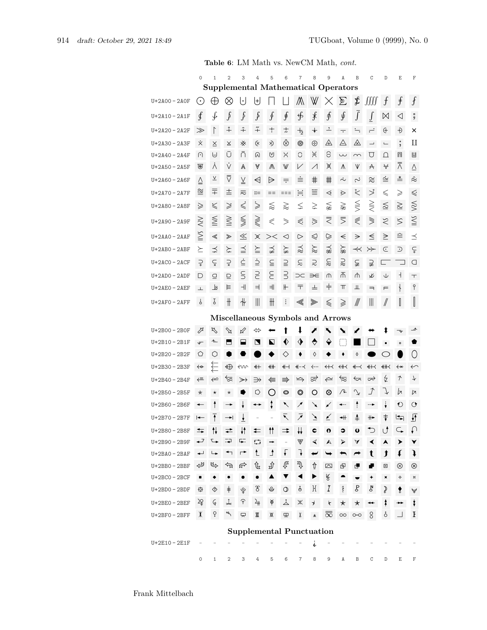|                 |              | <b>Table 6:</b> Lim math vs. NewOm math, <i>cont.</i> |                          |                         |                                                       |                                                 |                          |                                                     |                          |                          |                      |                |                          |                          |                     |                                |
|-----------------|--------------|-------------------------------------------------------|--------------------------|-------------------------|-------------------------------------------------------|-------------------------------------------------|--------------------------|-----------------------------------------------------|--------------------------|--------------------------|----------------------|----------------|--------------------------|--------------------------|---------------------|--------------------------------|
|                 | $\mathbf 0$  | $\mathbf{1}$                                          | $\overline{2}$           | 3                       | 4                                                     | 5<br><b>Supplemental Mathematical Operators</b> | 6                        | $\overline{7}$                                      | 8                        | 9                        | A                    | $\mathbb B$    | C                        | D                        | Ε                   | $\mathbf F$                    |
| U+2A00-2A0F     | $_{\odot}$   | $\oplus$                                              | $\otimes$                | $\lfloor \cdot \rfloor$ | ⊎                                                     |                                                 |                          | M                                                   | W                        | $\times$                 | $\sum$               | \$             | JJJJ                     | $\int$                   | $\mathbf{f}$        | $\int$                         |
| $U+2A10-2A1F$   | ∮            | ∳                                                     | $\int$                   | $\int$                  | $\int$                                                | $\oint$                                         | ∮                        | ∯                                                   | ≸                        | ∱                        | ∮                    | $\int$         | ſ                        | $\bowtie$                | ◁                   | я<br>Я                         |
| $U+2A20 - 2A2F$ | $\gg$        | $\Gamma$                                              | $\mathring{+}$           | $\hat{+}$               | $\tilde{+}$                                           | $\pm$                                           | $\ddagger$               | $+$ <sub>2</sub>                                    | $\,{}^+$                 | $\overline{\phantom{a}}$ | $\overline{\cdot}$   | $\div$         | $\div$                   | ⊕                        | Ð                   | ×                              |
| $U+2A30 - 2A3F$ | X.           | $\times$                                              | X                        | ፠                       | ্                                                     | ×D                                              | $\hat{\otimes}$          | ◉                                                   | $\oplus$                 | ◬                        | △                    | ◬              | $\overline{\phantom{a}}$ | $\overline{\phantom{0}}$ | $\blacksquare$      | П                              |
| U+2A40 - 2A4F   | ∩            | ⊌                                                     | U                        | Ā                       | ⋒                                                     | V                                               | $\times$                 | C                                                   | ×                        | $\ominus$                | $\sim$               | $\sim$         | U                        | $\Omega$                 | П                   | Ш                              |
| U+2A50 - 2A5F   | ⊛            | ٨                                                     | V                        | Λ                       | V                                                     | ∧                                               | W                        | $\vee$                                              | $\diagup$                | Ж                        | Λ                    | V              | $\forall$                | ₩                        | $\overline{\wedge}$ | $\overline{\vee}$              |
| $U+2A60 - 2A6F$ | ≙            | $\overline{\wedge}$                                   | ⊽                        | $\underline{\vee}$      | $\triangleleft$                                       | $\Rightarrow$                                   | ╤                        | ≐                                                   | 丰                        | ⋕                        | $\dot{\sim}$         | <b>ب</b> .     | ≋                        | ≌                        | ≛                   | $\hat{\approx}$                |
| $U+2A70 - 2A7F$ | ≊            | 干                                                     | 圭                        | ≂                       | $::=$                                                 | $==$                                            | $==$                     | ₩                                                   | ≝                        | ⋖                        | ⋗                    | そ              | $\searrow$               | $\leqslant$              | ≥                   | $\leqslant$                    |
| $U+2A80 - 2A8F$ | ⋧            | ≤                                                     | ≫                        | ≤                       | $\geqslant$                                           | ≋                                               | $\gtrapprox$             | ⋦                                                   | ⋧                        | ⋦                        | ⋧                    | $\leq$         | ⋚                        | ≦                        | $\geq$              | $\lessapprox$                  |
| $U+2A90-2A9F$   | $\gtrapprox$ | ≦                                                     | $\geqq$                  | ⋚                       | ≪                                                     | ⋞                                               | $\geqslant$              | ⋞                                                   | $\ddot{ }$               | ₹                        | ₹                    | ⋞              | ≋                        | $\lesssim$               | $\lesssim$          | $\leq$                         |
| $U+2AA0 - 2AAF$ | ≧            | ≪                                                     | ≫                        | $\leq$                  | ✕                                                     | $>\lt$                                          | ⊲                        | $\triangleright$                                    | ⋞                        | $\heartsuit$             | $\Leftarrow$         | ⇒              | ≤                        | $\geq$                   |                     | ≼                              |
| $U+2ABO - 2ABF$ | ≿            | ⋨                                                     | ≿                        | $\preceq$               | $\geqq$                                               | ⋨                                               | ≽                        | ≵                                                   | $\approx$                | ⋨                        | ⋩                    | $\prec$        | $\succ\!\!\succ$         | E                        | ⊃                   | $\subsetneq$                   |
| $U+2ACO-2ACF$   | $\supsetneq$ | ç                                                     | č                        | $\dot{\subseteq}$       | $\dot{\supseteq}$                                     | $\subseteqq$                                    | $\supseteq$              | $\lesssim$                                          | $\gtrsim$                | $\approx$                | $\gtrapprox$         | ⊊              | ⊋                        | L.                       |                     | O                              |
| $U+2ADO - 2ADF$ | D            | $\subseteq$                                           | $\supseteq$              | S                       | $\subseteq$                                           | $\in$                                           | $\supseteq$              | $\supset\subset$                                    | $\Rightarrow \in$        | ጠ                        | 不                    | ⋔              | ٧K                       | Ψ                        | ┪                   | $\top$                         |
| $U+2AEO-2AEF$   | $\perp$      | $\perp$ s                                             | F.                       | $\mathcal{H}$           | $\Rightarrow$                                         | $\Rightarrow$                                   | ╟                        | 〒                                                   | ᆂ                        | $\ddagger$               | π                    | Щ              | ╕                        | F                        | ł                   | $\, \, \pmb{\Upsilon}$         |
| $U+2AFO - 2AFF$ | $\upphi$     | Ţ                                                     | $\#$                     | ╫                       | $\parallel \parallel$                                 | ₩                                               | ።                        |                                                     | ≫                        | ≼                        | ⋧                    |                | $\parallel \parallel$    | //                       | I                   | $\begin{array}{c} \end{array}$ |
|                 |              |                                                       |                          |                         |                                                       |                                                 |                          |                                                     |                          |                          |                      |                |                          |                          |                     |                                |
|                 |              |                                                       |                          |                         |                                                       | Miscellaneous Symbols and Arrows                |                          |                                                     |                          |                          |                      |                |                          |                          |                     |                                |
| $U+2BOO - 2BOF$ | ⇗            | ⇖                                                     | $\mathbb Z$              | ⇙                       | ⇔                                                     |                                                 |                          | ↓                                                   | ∕                        |                          |                      |                |                          |                          |                     |                                |
| $U+2B10-2B1F$   | $\sqrt{ }$   | ∼                                                     |                          |                         |                                                       | N                                               | v                        |                                                     | ▽                        |                          | ÷                    |                |                          | ٠                        | $\blacksquare$      |                                |
| U+2B20-2B2F     | O            | Ο                                                     |                          |                         |                                                       |                                                 | ◇                        |                                                     | ♦                        |                          |                      | ♦              |                          |                          |                     | $\left( \right)$               |
| U+2B30 - 2B3F   | ↫            | ≿                                                     | $\bigoplus$              | ≮νν                     | ↞╄                                                    | ∰                                               | ↞⊣                       | —⊀                                                  | ∻…                       | $\leftrightarrow$        | ∰                    | ↞              | ↞↢                       | 《大                       | $\leftrightarrow$   | ←                              |
| $U+2B40-2B4F$   | ⇐            | ↩                                                     | ভি                       | ≫                       | ⋺                                                     | ⇚                                               | $\Rightarrow$            | $\hookrightarrow$                                   | ఞ                        | $\curvearrowright$       | $\overline{\approx}$ | ⇐              | ➾                        | ↯                        | ↑                   | $\downarrow$                   |
| $U+2B50 - 2B5F$ | $^\star$     | $^\star$                                              | $^\star$                 |                         | ♡                                                     | $\left(\begin{array}{c} 1 \end{array}\right)$   | ◎                        | O                                                   | O                        | ⊗                        | ∕⊾                   | $\mathbf{r}$   | J                        | $\downarrow$             | h                   | ᆬ                              |
| U+2B60 - 2B6F   | $\leftarrow$ | $\uparrow$                                            |                          |                         |                                                       | ţ                                               | $\blacktriangle$         | ↗                                                   | ↘                        | ↙                        | ←                    | Ť              |                          |                          | ↻                   | $\circ$                        |
| $U+2B70-2B7F$   | $\leftarrow$ | Ŧ                                                     | $\rightarrow$            | $\frac{1}{\sqrt{2}}$    | -                                                     | $\overline{a}$                                  | $\overline{\phantom{a}}$ | $\bar{z}$                                           | $\bar{ }$                | $\angle$                 | $+$                  | $\ddagger$     | $+$                      | ŧ                        | احًّا               | ∬                              |
| $U+2B80 - 2B8F$ | ⇆            | ⇅                                                     | ⇄                        | ₩                       | ⇇                                                     | $\uparrow \uparrow$                             | ⇉                        | ₩                                                   | C                        | O                        | ∍                    | $\mathbf 0$    | ⅁                        | U                        | ⊊                   | ₽                              |
| U+2B90-2B9F     | ↵            | ╰╾                                                    | ⋥                        | с.                      | C)                                                    | $\rightarrow$                                   | $\qquad \qquad -$        | ₩                                                   | $\blacktriangleleft$     | $\blacktriangle$         | ➤                    | A              | ◀                        | A                        | ▸                   | v                              |
| $U+2BAO - 2BAF$ | ↵            | ↳                                                     | $\overline{\phantom{a}}$ | ┍                       | $1$                                                   | $\pmb{\downarrow}$                              | $\sqrt{ }$               | 7                                                   | $\overline{\phantom{0}}$ | $\rightarrow$            | ≛                    | $\rightarrow$  | t                        | ⅉ                        | €                   | ļ                              |
| $U+2BB0 - 2BBF$ | ⇔            | ╚                                                     | 勺                        | ু∕ন                     | €                                                     | ∯                                               | ∉                        | Ŗ                                                   | ⇮                        | $\mathbb{Z}$             | 回                    | đ.             |                          | ⊠                        | ⊗                   | $^{\circledR}$                 |
| $U+2BCO - 2BCF$ | ٠            | ٠                                                     | ٠                        | $\bullet$               | $\bullet$                                             | ▲                                               | $\blacktriangledown$     | $\blacktriangleleft$                                | ▶                        | ¥                        | $\bullet$            | $\blacksquare$ | 0                        | ×                        | ♦                   | $\,\mathrm{H}$                 |
| $U+2BDO - 2BDF$ | ₿.           | ◈                                                     | $\dagger$                | $\varphi$               | $\mathfrak{F}% _{0}^{\ast }=\mathfrak{F}_{0}^{\ast }$ | $\mathfrak{S}$                                  | $\circledcirc$           | ô                                                   | ŀ[                       | Ţ                        | $\frac{4}{3}$        | Β              | ľ                        | ₽                        | Ŧ                   | ¥                              |
| $U+2BE0 - 2BEF$ | 才            | G                                                     | ↓                        | Ŧ                       | 4                                                     | $\breve{\phi}$                                  | 소                        | Ж                                                   | $\rightarrow$            | t                        | $\star$              | $\star$        | ↔                        | ŧ                        |                     | ŧ                              |
| $U+2BF0 - 2BFF$ | $\chi$       | ò.                                                    | معم                      | 只                       | ₩                                                     | Ж                                               | $\mathbf \Xi$            | $\mathsf{X}% _{0}^{\prime}=\mathsf{X}_{0}^{\prime}$ | $\star$                  | $\overline{\infty}$      | $\circ$              | O O            | $\delta$                 | δ                        |                     | H                              |
|                 |              |                                                       |                          |                         |                                                       | <b>Supplemental Punctuation</b>                 |                          |                                                     |                          |                          |                      |                |                          |                          |                     |                                |
| $U+2E10-2E1F$   |              |                                                       |                          |                         |                                                       |                                                 |                          |                                                     | j.                       |                          |                      |                |                          |                          |                     |                                |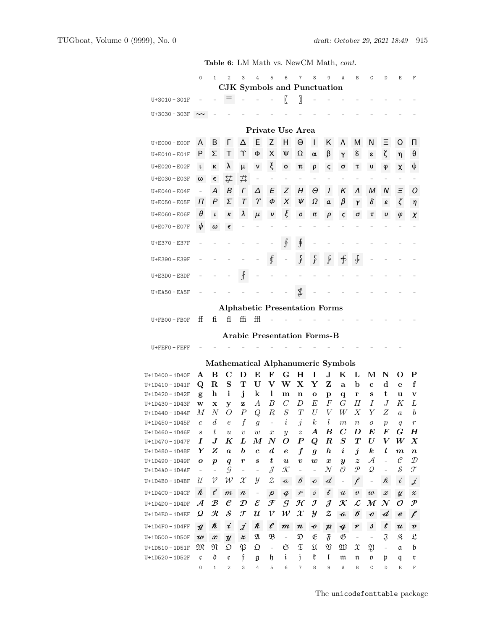|                       | $\circ$           | $\mathbf{1}$               | $\overline{2}$                       | 3                                                         | 4                        | 5                          | 6                         | $\overline{7}$                                                                                          | 8                        | 9                          | $\mathbb{A}$                      | B                                                                                                              | C                         | D                        | E                         | F                                                                                                                  |
|-----------------------|-------------------|----------------------------|--------------------------------------|-----------------------------------------------------------|--------------------------|----------------------------|---------------------------|---------------------------------------------------------------------------------------------------------|--------------------------|----------------------------|-----------------------------------|----------------------------------------------------------------------------------------------------------------|---------------------------|--------------------------|---------------------------|--------------------------------------------------------------------------------------------------------------------|
|                       |                   |                            | <b>CJK</b> Symbols and Punctuation   |                                                           |                          |                            |                           |                                                                                                         |                          |                            |                                   |                                                                                                                |                           |                          |                           |                                                                                                                    |
| $U+3010-301F$         |                   |                            | ╤                                    |                                                           |                          |                            | $\sqrt{ }$                | $\overline{\phantom{a}}$                                                                                |                          |                            |                                   |                                                                                                                |                           |                          |                           |                                                                                                                    |
| U+3030-303F           |                   |                            |                                      |                                                           |                          |                            |                           |                                                                                                         |                          |                            |                                   |                                                                                                                |                           |                          |                           |                                                                                                                    |
|                       |                   |                            |                                      |                                                           |                          |                            | Private Use Area          |                                                                                                         |                          |                            |                                   |                                                                                                                |                           |                          |                           |                                                                                                                    |
|                       |                   | B                          | Г                                    |                                                           | E                        | Z                          | H                         | $\Theta$                                                                                                | L                        | Κ                          |                                   |                                                                                                                | N                         | Ξ                        |                           |                                                                                                                    |
| U+E000 - E00F         | A                 |                            |                                      | Δ                                                         |                          |                            |                           |                                                                                                         |                          |                            | Λ                                 | м                                                                                                              |                           |                          | O                         | п                                                                                                                  |
| U+E010 - E01F         | P                 | Σ                          | Τ                                    | Υ                                                         | Φ                        | X                          | Ψ                         | Ω                                                                                                       | $\alpha$                 | β                          | Υ                                 | δ                                                                                                              | ε                         | ζ                        | η                         | θ                                                                                                                  |
| U+E020 - E02F         | $\mathsf{L}$      | κ                          | λ                                    | μ                                                         | ν                        | ξ                          | $\circ$                   | π                                                                                                       | ρ                        | ς                          | σ                                 | τ                                                                                                              | υ                         | φ                        | χ                         | ψ                                                                                                                  |
| U+E030 - E03F         | ω                 | $\epsilon$                 | ₩                                    | 书                                                         |                          |                            |                           |                                                                                                         |                          |                            |                                   |                                                                                                                |                           |                          |                           |                                                                                                                    |
| U+E040 - E04F         |                   | А                          | B                                    | Γ                                                         | Δ                        | Ε                          | Z                         | Η                                                                                                       | Θ                        | $\overline{I}$             | K                                 | $\Lambda$                                                                                                      | М                         | N                        | Ξ                         | O                                                                                                                  |
| U+E050 - E05F         | Π                 | Ρ                          | Σ                                    | $\tau$                                                    | $\Upsilon$               | Φ                          | Χ                         | Ψ                                                                                                       | Ω                        | a                          | β                                 | γ                                                                                                              | δ                         | ε                        | ζ                         | η                                                                                                                  |
| U+E060 - E06F         | θ                 | $\iota$                    | κ                                    | λ                                                         | μ                        |                            | ξ                         | ο                                                                                                       | π                        | ρ                          | ς                                 | σ                                                                                                              | τ                         | υ                        | φ                         | X                                                                                                                  |
| U+E070 - E07F         | ψ                 | ω                          | $\epsilon$                           |                                                           |                          |                            |                           |                                                                                                         |                          |                            |                                   |                                                                                                                |                           |                          |                           |                                                                                                                    |
| U+E370 - E37F         |                   |                            |                                      |                                                           |                          |                            | ş.                        | ∯                                                                                                       |                          |                            |                                   |                                                                                                                |                           |                          |                           |                                                                                                                    |
| U+E390 - E39F         |                   |                            |                                      |                                                           |                          | ∮                          |                           | $\mathfrak{f}$                                                                                          | $\int$                   | f,                         | ∯                                 | ∳                                                                                                              |                           |                          |                           |                                                                                                                    |
| $U + E3D0 - E3DF$     |                   |                            |                                      | $\overline{f}$                                            |                          |                            |                           |                                                                                                         |                          |                            |                                   |                                                                                                                |                           |                          |                           |                                                                                                                    |
| $U + E A 50 - E A 5F$ |                   |                            |                                      |                                                           |                          |                            |                           | \$                                                                                                      |                          |                            |                                   |                                                                                                                |                           |                          |                           |                                                                                                                    |
|                       |                   |                            | <b>Alphabetic Presentation Forms</b> |                                                           |                          |                            |                           |                                                                                                         |                          |                            |                                   |                                                                                                                |                           |                          |                           |                                                                                                                    |
|                       | ff                | fi.                        | fl                                   | ffi                                                       | ffl                      |                            |                           |                                                                                                         |                          |                            |                                   |                                                                                                                |                           |                          |                           |                                                                                                                    |
| $U + FBOO - FBOF$     |                   |                            |                                      |                                                           |                          |                            |                           |                                                                                                         |                          |                            |                                   |                                                                                                                |                           |                          |                           |                                                                                                                    |
|                       |                   |                            | <b>Arabic Presentation Forms-B</b>   |                                                           |                          |                            |                           |                                                                                                         |                          |                            |                                   |                                                                                                                |                           |                          |                           |                                                                                                                    |
| $U + FEFO - FEFF$     |                   |                            |                                      |                                                           |                          |                            |                           |                                                                                                         |                          |                            |                                   |                                                                                                                |                           |                          |                           |                                                                                                                    |
|                       |                   |                            |                                      |                                                           |                          |                            |                           |                                                                                                         |                          |                            | Mathematical Alphanumeric Symbols |                                                                                                                |                           |                          |                           |                                                                                                                    |
| U+1D400 - 1D40F       | A                 | B                          | $\mathbf C$                          | D                                                         | E                        | F                          | G                         | н                                                                                                       | I                        | $\mathbf{J}$               | $\bf K$                           | L                                                                                                              | М                         | N                        | Ő                         | P                                                                                                                  |
| U+1D410-1D41F         | Q                 | $\mathbf R$                | S                                    | т                                                         | ${\bf U}$                | V                          | W                         | $\mathbf{X}$                                                                                            | Y                        | Z                          | a                                 | b                                                                                                              | $\mathbf c$               | $\mathbf d$              | e                         | f                                                                                                                  |
| U+1D420-1D42F         | g                 | $\mathbf h$                | i                                    | $\mathbf{j}$                                              | k                        | $\mathbf{l}$               | m                         | n                                                                                                       | o                        | p                          | q                                 | r                                                                                                              | S                         | t                        | u                         | v                                                                                                                  |
| U+1D430 - 1D43F       | w                 | x                          | у                                    | z                                                         | $\boldsymbol{A}$         | B                          | $\mathcal{C}_{0}^{(n)}$   | D                                                                                                       | E                        | F                          | G                                 | Н                                                                                                              | $\overline{I}$            | .J                       | Κ                         | L                                                                                                                  |
| U+1D440 - 1D44F       | М                 | $\overline{N}$             | O                                    | $\boldsymbol{P}$                                          | Q                        | $\boldsymbol{R}$           | $\cal S$                  | T                                                                                                       | $\boldsymbol{U}$         | V                          | W                                 | X                                                                                                              | Y                         | Ζ                        | $\boldsymbol{a}$          | b                                                                                                                  |
| $U+1D450 - 1D45F$     | $\mathcal{C}$     | $\boldsymbol{d}$           | $\boldsymbol{e}$                     | $\boldsymbol{f}$                                          | $\boldsymbol{g}$         |                            | $\dot{i}$                 | $\dot{j}$                                                                                               | $\boldsymbol{k}$         | $l_{\rm }$                 | $\,m$                             | $\boldsymbol{n}$                                                                                               | ${\cal O}$                | $\boldsymbol{p}$         | q                         | $\,r\,$                                                                                                            |
| U+1D460 - 1D46F       | S                 | t                          | $\boldsymbol{u}$                     | $\boldsymbol{v}$                                          | $\boldsymbol{w}$         | $\boldsymbol{x}$           | у                         | $\boldsymbol{z}$                                                                                        | $\boldsymbol{A}$         | B                          | $\bm{C}$                          | D                                                                                                              | $\bm E$                   | F                        | G                         | $\bm H$                                                                                                            |
| U+1D470-1D47F         | $\mathbf I$       | $\bm{J}$                   | K                                    | L                                                         | $\bm{M}$                 | $\boldsymbol{N}$           | O                         | $\boldsymbol{P}$                                                                                        | Q                        | $\boldsymbol{R}$           | $\boldsymbol{S}$                  | $\boldsymbol{T}$                                                                                               | $\boldsymbol{U}$          | $\boldsymbol{V}$         | W                         | $\bm{X}$                                                                                                           |
| U+1D480-1D48F         | Y                 | Z                          | $\boldsymbol{a}$                     | b                                                         | $\boldsymbol{c}$         | $\boldsymbol{d}$           | e                         | $\boldsymbol{f}$                                                                                        | $\boldsymbol{g}$         | $\bm{h}$                   | $\bm{i}$                          | $\boldsymbol{j}$                                                                                               | $\boldsymbol{k}$          | l                        | $\boldsymbol{m}$          | $\boldsymbol{n}$                                                                                                   |
| U+1D490 - 1D49F       | о                 | $\boldsymbol{p}$           | $\boldsymbol{q}$                     | $\boldsymbol{r}$                                          | S                        | t                          | $\boldsymbol{u}$          | $\boldsymbol{v}$                                                                                        | $\boldsymbol{w}$         | $\pmb{x}$                  | y                                 | $\boldsymbol{z}$                                                                                               | А                         | $\overline{\phantom{0}}$ | $\mathcal C$              | D                                                                                                                  |
| U+1D4A0-1D4AF         | $\qquad \qquad -$ | $\overline{\phantom{m}}$   | $\mathcal G$                         |                                                           |                          | J                          | K                         |                                                                                                         | $\overline{\phantom{0}}$ | $\mathcal N$               | $\mathcal O$                      | $\mathcal P$                                                                                                   | ${\mathcal{Q}}$           | $\overline{\phantom{0}}$ | S                         | $\mathcal T$                                                                                                       |
| $U+1D4B0 - 1D4BF$     | U                 | v                          | W                                    | $\mathcal X$                                              | у                        | 2                          | $\boldsymbol{\mathit{a}}$ | $\ell$                                                                                                  | $\pmb{\mathcal{C}}$      | ď                          | $\overline{\phantom{0}}$          | $\ell$                                                                                                         | $\overline{\phantom{0}}$  | ħ                        | $\dot{\iota}$             | J                                                                                                                  |
| $U+1D4CO - 1D4CF$     | k                 | $\ell$                     | m                                    | $\boldsymbol{n}$                                          | $\overline{\phantom{0}}$ | $\mathcal{P}$              | $\it q$                   | r                                                                                                       | $\beta$                  | $t\,$                      | $\boldsymbol{\mathcal{U}}$        | $\boldsymbol{\mathcal{U}}$                                                                                     | $\boldsymbol{\mathit{w}}$ | $\pmb{x}$                | $\mathcal{U}$             | z                                                                                                                  |
| $U+1D4D0 - 1D4DF$     | $\mathcal A$      | $\mathcal B$               | $\mathcal C$                         | $\mathcal{D}% _{M_{1},M_{2}}^{\alpha,\beta}(\varepsilon)$ | $\mathcal E$             | $\boldsymbol{\mathcal{F}}$ | $\mathcal G$              | $\mathcal H$                                                                                            | $\bm{\mathcal{J}}$       | $\mathcal J$               | $\boldsymbol{\mathcal{K}}$        | $\mathcal{L}% _{G}=\mathcal{L}_{G}\!\left( a,b\right) ,\ \mathcal{L}_{G}=\mathcal{L}_{G}\!\left( a,b\right) ,$ | $\mathcal M$              | $\mathcal N$             | O                         | $\boldsymbol{\mathcal{P}}$                                                                                         |
| $U+1D4E0 - 1D4EF$     | $\mathcal{Q}$     | $\boldsymbol{\mathcal{R}}$ | S                                    | $\mathcal{J}% _{M_{1},M_{2}}^{\alpha,\beta}(\varepsilon)$ | $\mathcal{U}$            | $\mathcal V$               | ${\mathcal W}$            | $\mathcal{X}% _{0}$                                                                                     | y                        | $z\,$                      | $\boldsymbol{\mathit{a}}$         | $\ell$                                                                                                         | $\pmb{\mathcal{C}}$       | $\boldsymbol{d}$         | $\pmb{\mathcal{e}}$       | f                                                                                                                  |
| $U+1D4FO - 1D4FF$     | $\boldsymbol{q}$  | ħ                          | i                                    | $\overline{\mathcal{I}}$                                  | ĸ                        | $\ell$                     | $\pmb{m}$                 | $\pmb{n}$                                                                                               | $\boldsymbol{c}$         | $\boldsymbol{\mathcal{P}}$ | $\boldsymbol{q}$                  | $\pmb{\mathcal{V}}$                                                                                            | s                         | $\boldsymbol{t}$         | $\boldsymbol{\mathit{u}}$ | v                                                                                                                  |
| U+1D500 - 1D50F       | $\boldsymbol{w}$  | $\pmb{x}$                  | $\boldsymbol{\mathcal{U}}$           | $\pmb{\mathcal{z}}$                                       | $\mathfrak A$            | B                          |                           | $\mathfrak{D}% _{T}=\mathfrak{D}_{T}\!\left( a,b\right) ,\ \mathfrak{D}_{T}=C_{T}\!\left( a,b\right) ,$ | E                        | $\mathfrak{F}% _{0}$       | B                                 |                                                                                                                |                           | $\mathfrak{J}$           | R                         | $\mathfrak{L}% _{T}=\mathfrak{L}_{T}\!\left( a,b\right) ,\ \mathfrak{L}_{T}=\mathfrak{L}_{T}\!\left( a,b\right) ,$ |
| $U+1D510 - 1D51F$     | M                 | M                          | D                                    | P                                                         | $\mathfrak Q$            | $\overline{\phantom{a}}$   | G                         | $\mathfrak T$                                                                                           | $\mathfrak U$            | Ŋ                          | W                                 | X                                                                                                              | Ŋ                         | $\overline{\phantom{0}}$ | $\mathfrak a$             | b                                                                                                                  |
| U+1D520 - 1D52F       | c                 | d                          | e                                    | f                                                         | g                        | h                          | i                         | $\mathbf{j}$                                                                                            | ŧ                        | $\mathfrak l$              | $\mathfrak m$                     | $\mathfrak n$                                                                                                  | 0                         | p                        | q                         | r                                                                                                                  |
|                       | 0                 | 1                          | $\mathbf{2}$                         | 3                                                         | 4                        | 5                          | 6                         | $\overline{7}$                                                                                          | 8                        | 9                          | A                                 | B                                                                                                              | С                         | D                        | Ε                         | F                                                                                                                  |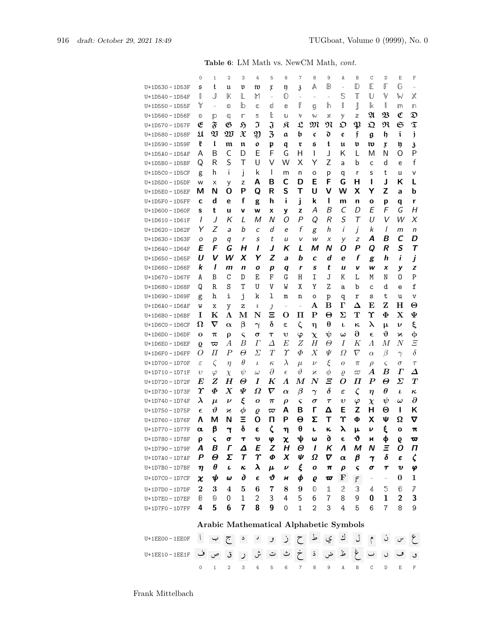|                    |                  |                                   | $\overline{2}$                         | 3                        | 4                     |                         |                   |                               | 8                        |                       |                               | B                           |                       | D                        | Ε                   |                                                                                                              |
|--------------------|------------------|-----------------------------------|----------------------------------------|--------------------------|-----------------------|-------------------------|-------------------|-------------------------------|--------------------------|-----------------------|-------------------------------|-----------------------------|-----------------------|--------------------------|---------------------|--------------------------------------------------------------------------------------------------------------|
| U+1D530 - 1D53F    | $\circ$<br>5     | 1<br>t                            | u                                      | v                        | m                     | 5                       | 6                 | 7                             | Α                        | 9<br>B                | Α<br>$\overline{\phantom{a}}$ | D                           | C<br>E                | F                        | G                   | F<br>$\overline{a}$                                                                                          |
|                    | O                | J                                 | K                                      | L                        | M                     | x<br>$\overline{a}$     | ŋ<br>$\mathbb{O}$ | $\mathfrak{z}$                |                          | $\overline{a}$        | $\mathbb{S}$                  | T                           | U                     | V                        | W                   | Χ                                                                                                            |
| U+1D540 - 1D54F    | Y                |                                   |                                        |                          |                       |                         |                   | $\overline{\phantom{0}}$<br>ſ | $\overline{\phantom{0}}$ | h                     | i                             |                             |                       | J                        |                     |                                                                                                              |
| $U+1D550 - 1D55F$  |                  | $\overline{\phantom{a}}$          | O                                      | lb                       | C                     | d                       | e                 |                               | g                        |                       |                               | Ĵ                           | k<br>$\mathfrak A$    | $\mathfrak B$            | m<br>$\mathfrak{C}$ | m<br>$\mathfrak{D}% _{T}=\mathfrak{D}_{T}\!\left( a,b\right) ,\ \mathfrak{D}_{T}=C_{T}\!\left( a,b\right) ,$ |
| U+1D560 - 1D56F    | $^\circledR$     | P                                 | q                                      | ╓                        | S                     | ŀ                       | U                 | V                             | W                        | χ                     | у                             | $\mathbb Z$                 |                       |                          |                     |                                                                                                              |
| U+1D570 - 1D57F    | E                | $\mathfrak{F}$                    | B                                      | Ñ                        | J                     | $\mathfrak{J}$          | я                 | $\mathfrak{L}$                | M                        | N                     | င္စ                           | $\boldsymbol{\mathfrak{P}}$ | な                     | R                        | $\mathfrak S$       | $\widetilde{\mathfrak{T}}$                                                                                   |
| U+1D580-1D58F      | $\mathfrak u$    | $\mathfrak V$                     | W                                      | $\mathfrak X$            | Ŋ                     | $\overline{\mathbf{3}}$ | a                 | b                             | C                        | d                     | e                             | f                           | g                     | h                        | i                   | j                                                                                                            |
| U+1D590 - 1D59F    | ŧ                | ľ                                 | $\mathfrak m$                          | $\mathfrak n$            | 0                     | p                       | q                 | r                             | S                        | t                     | u                             | v                           | w                     | ŗ                        | ŋ                   | 3                                                                                                            |
| U+1D5A0 - 1D5AF    | A                | Β                                 | C                                      | D                        | E                     | F                       | G                 | н                             | I                        | J                     | Κ                             | L                           | M                     | N                        | Ω                   | P                                                                                                            |
| $U+1D5B0 - 1D5BF$  | Q                | R                                 | S                                      | Τ                        | U                     | V                       | W                 | Χ                             | Υ                        | Z                     | а                             | b                           | C                     | d                        | e                   | f                                                                                                            |
| $U+1D5CO - 1D5CF$  | g                | h                                 | i                                      | j                        | k                     | I                       | m                 | n                             | o                        | р                     | q                             | r                           | S                     | t                        | u                   | v                                                                                                            |
| U+1D5D0-1D5DF      | W                | х                                 | у                                      | z                        | A                     | в                       | c                 | D                             | E                        | F                     | G                             | н                           | ı                     | J                        | ĸ                   | L                                                                                                            |
| U+1D5E0 - 1D5EF    | М                | N                                 | O                                      | Р                        | Q                     | R                       | S                 | т                             | U                        | v                     | w                             | х                           | Y                     | Z                        | a                   | b                                                                                                            |
| $U+1$ D5F0 - 1D5FF | C                | d                                 | e                                      | f                        | g                     | h                       | i                 | j                             | k                        | ı                     | m                             | n                           | o                     | р                        | q                   | r                                                                                                            |
| U+1D600 - 1D60F    | S                | t                                 | u                                      | v                        | w                     | x                       | y                 | z                             | Α                        | B                     | $\mathcal{C}_{0}^{(n)}$       | D                           | Е                     | F                        | G                   | Н                                                                                                            |
| U+1D610-1D61F      | I                | J                                 | Κ                                      | L                        | Μ                     | Ν                       | O                 | $\overline{P}$                | Q                        | R                     | S                             | Τ                           | U                     | V                        | W                   | Х                                                                                                            |
| U+1D620-1D62F      | Υ                | Ζ                                 | a                                      | b                        | C                     | d                       | e                 | f                             | g                        | h                     | i                             | j                           | k                     | I                        | m                   | n                                                                                                            |
| U+1D630-1D63F      | ο                | р                                 | q                                      | r                        | S                     | t                       | и                 | v                             | W                        | X                     | у                             | z                           | Α                     | В                        | C                   | D                                                                                                            |
| U+1D640 - 1D64F    | E                | F                                 | G                                      | н                        | ı                     | J                       | κ                 | L                             | м                        | N                     | O                             | Ρ                           | Q                     | R                        | $\mathcal{S}$       | $\tau$                                                                                                       |
| U+1D650 - 1D65F    | U                | V                                 | w                                      | X                        | Y                     | Z                       | a                 | b                             | C                        | d                     | e                             | f                           | g                     | h                        | i                   | j                                                                                                            |
| U+1D660 - 1D66F    | k                | I                                 | m                                      | n                        | ο                     | р                       | q                 | r                             | S                        | t                     | u                             | v                           | w                     | x                        | у                   | Z                                                                                                            |
| U+1D670-1D67F      | A                | B                                 | $\mathsf C$                            | D                        | Ε                     | F                       | G                 | Η                             | Ι                        | J                     | Κ                             | L                           | М                     | N                        | 0                   | $\mathbf P$                                                                                                  |
| U+1D680-1D68F      | Q                | R                                 | S                                      | Т                        | U                     | V                       | W                 | Χ                             | Y                        | Z                     | а                             | b                           | C                     | d                        | e                   | f                                                                                                            |
| U+1D690 - 1D69F    | g                | h                                 | i                                      | j                        | k                     | ı                       | m                 | n                             | o                        | p                     | q                             | r                           | S                     | t                        | u                   | $\mathbf v$                                                                                                  |
| U+1D6A0-1D6AF      | W                | х                                 | у                                      | z                        | $\imath$              | $\jmath$                | $\qquad \qquad -$ | $\overline{a}$                | А                        | в                     | г                             | Δ                           | E                     | z                        | н                   | $\Theta$                                                                                                     |
| $U+1D6B0 - 1D6BF$  | 1                | K                                 | Λ                                      | м                        | N                     | Ξ                       | O                 | п                             | $\mathbf{P}$             | $\boldsymbol{\Theta}$ | Σ                             | т                           | Υ                     | Ф                        | $\mathbf X$         | Ψ                                                                                                            |
| $U+1D6CO - 1D6CF$  | Ω                | $\boldsymbol{\nabla}$             | $\boldsymbol{\alpha}$                  | β                        | $\boldsymbol{\gamma}$ | δ                       | ε                 | $\zeta$                       | η                        | θ                     | ı                             | к                           | λ                     | μ                        | ν                   | ξ                                                                                                            |
| $U+1D6D0 - 1D6DF$  | O                | π                                 | ρ                                      | ς                        | σ                     | $\tau$                  | υ                 | $\varphi$                     | $\chi$                   | ψ                     | س                             | $\partial$                  | $\epsilon$            | J)                       | Ν                   | φ                                                                                                            |
| U+1D6E0 - 1D6EF    | Q                | ᢍ                                 | A                                      | B                        | $\Gamma$              | Δ                       | E                 | Ζ                             | Н                        | Θ                     | Ι                             | Κ                           | $\Lambda$             | М                        | N                   | Ξ                                                                                                            |
| $U+1$ D6F0 - 1D6FF | O                | П                                 | $\boldsymbol{P}$                       | θ                        | Σ                     | T                       | $\gamma$          | Ф                             | $\boldsymbol{X}$         | Ψ                     | Ω                             | ∇                           | $\alpha$              | $\beta$                  | $\gamma$            | $\delta$                                                                                                     |
| U+1D700 - 1D70F    | $\varepsilon$    | $\zeta$                           |                                        | $\theta$                 | $\iota$               | $\kappa$                | $\lambda$         | $\mu$                         | $\nu$                    | ξ                     | 0                             | $\pi$                       |                       | ς                        | $\sigma$            | $\tau$                                                                                                       |
|                    |                  |                                   | $\eta$                                 | $\psi$                   |                       | $\partial$              | $\epsilon$        | θ                             |                          | $\phi$                |                               |                             | $\rho$<br>А           | B                        | Г                   | Δ                                                                                                            |
| U+1D710-1D71F      | $\upsilon$<br>E  | $\varphi$<br>Z                    | $\chi$<br>$\bm H$                      | Θ                        | $\omega$<br>I         | K                       | Λ                 | $\bm{M}$                      | п<br>$\boldsymbol{N}$    | Ξ                     | $\varrho$<br>O                | $\varpi$<br>Π               | P                     | Θ                        | Σ                   | $\bm{T}$                                                                                                     |
| U+1D720-1D72F      | $\pmb{\Upsilon}$ | Ф                                 | $\boldsymbol{X}$                       | Ψ                        | Ω                     | $\boldsymbol{\nabla}$   |                   | $\beta$                       |                          | $\delta$              |                               |                             |                       | $\theta$                 |                     |                                                                                                              |
| U+1D730-1D73F      | λ                |                                   |                                        |                          |                       |                         | $\alpha$          |                               | $\gamma$                 |                       | $\varepsilon$                 | $\zeta$                     | $\eta$                |                          | $\iota$             | $\kappa$<br>$\partial$                                                                                       |
| U+1D740 - 1D74F    |                  | $\mu$<br>$\boldsymbol{\vartheta}$ | $\boldsymbol{\nu}$                     | ξ                        | 0                     | $\pi$                   | ρ<br>Α            | ς<br>B                        | σ<br>г                   | $\tau$<br>Δ           | $\boldsymbol{v}$<br>Е         | $\varphi$<br>Z              | $\chi$<br>н           | $\psi$<br>Θ              | $\omega$<br>ı       | ĸ                                                                                                            |
| U+1D750 - 1D75F    | $\epsilon$       |                                   | п                                      | $\boldsymbol{\phi}$<br>Ξ | Q                     | $\varpi$                | P                 |                               |                          |                       | Υ                             |                             |                       |                          |                     |                                                                                                              |
| U+1D760-1D76F      | Λ                | м                                 | N                                      |                          | O                     | п                       |                   | Θ                             | Σ                        | т                     |                               | Φ                           | х                     | Ψ                        | Ω                   | ᢦ                                                                                                            |
| U+1D770-1D77F      | α                | β                                 | า                                      | Ŏ                        | ε                     | ζ                       | η                 | θ                             | ı                        | ĸ.                    | λ                             | μ                           | ν                     | ξ                        | о                   | π                                                                                                            |
| U+1D780-1D78F      | ρ                | ς                                 | σ                                      | T                        | v                     | φ                       | χ                 | ψ                             | ω                        | 9                     | E                             | $\boldsymbol{\vartheta}$    | N                     | ф                        | 6                   | ᢍ                                                                                                            |
| U+1D790 - 1D79F    | A                | В                                 | Г                                      | Δ                        | E                     | Z                       | Н                 | Θ                             | $\mathbf{I}$             | Κ                     | Λ                             | М                           | N                     | Ξ                        | 0                   | П                                                                                                            |
| $U+1D7AO-1D7AF$    | P                | θ                                 | Σ                                      | T                        | Υ                     | Φ                       | X                 | ψ                             | Ω                        | V                     | α                             | β                           | $\boldsymbol{\gamma}$ | δ                        | ε                   | $\boldsymbol{\zeta}$                                                                                         |
| U+1D7B0-1D7BF      | η                | θ                                 | ı                                      | ĸ.                       | λ                     | μ                       | v                 | ξ                             | ο                        | $\pmb{\pi}$           | $\boldsymbol{\rho}$           | ς                           | σ                     | T                        | v                   | φ                                                                                                            |
| $U+1D7CO - 1D7CF$  | χ                | ψ                                 | ω                                      | д                        | $\epsilon$            | v                       | H                 | φ                             | e                        | $\boldsymbol{\varpi}$ | F                             | F                           | $\qquad \qquad -$     | $\overline{\phantom{a}}$ | 0                   | 1                                                                                                            |
| U+1D7D0-1D7DF      | 2                | 3                                 | 4                                      | 5                        | 6                     | 7                       | 8                 | 9                             | 0                        | 1                     | 2                             | 3                           | 4                     | 5                        | 6                   | 7                                                                                                            |
| U+1D7E0-1D7EF      | 8                | $^\circledR$                      | 0                                      | 1                        | 2                     | 3                       | 4                 | 5                             | 6                        | 7                     | 8                             | 9                           | 0                     | 1                        | 2                   | 3                                                                                                            |
| U+1D7F0-1D7FF      | 4                | 5                                 | 6                                      | 7                        | 8                     | 9                       | 0                 | 1                             | 2                        | 3                     | 4                             | 5                           | 6                     | $\overline{7}$           | 8                   | 9                                                                                                            |
|                    |                  |                                   |                                        |                          |                       |                         |                   |                               |                          |                       |                               |                             |                       |                          |                     |                                                                                                              |
|                    |                  |                                   | Arabic Mathematical Alphabetic Symbols |                          |                       |                         |                   |                               |                          |                       |                               |                             |                       |                          |                     |                                                                                                              |

## **Arabic Mathematical Alphabetic Symbols**

| ع س ن م ل ك ي ط ح ز و د د ج ب ا u+1EE00-1EE0F   |  |  |                                 |  |  |  |  |  |  |
|-------------------------------------------------|--|--|---------------------------------|--|--|--|--|--|--|
| و ف ا اس غ ظ ض ذ خ ث ات ش ر ق ص ف U+1EE10-1EE1F |  |  |                                 |  |  |  |  |  |  |
|                                                 |  |  | 0 1 2 3 4 5 6 7 8 9 A B C D E F |  |  |  |  |  |  |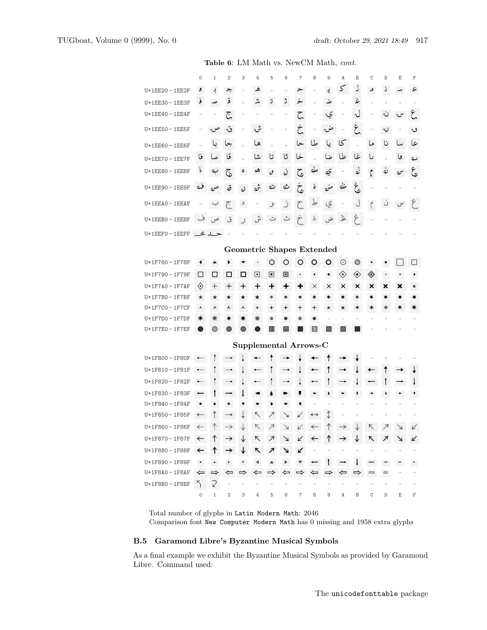|                         |                      |                    |                        |                                  |                          | widen vol. 2000 One middle, |                |                          |                          |                                               |                |                |        |             |   |    |
|-------------------------|----------------------|--------------------|------------------------|----------------------------------|--------------------------|-----------------------------|----------------|--------------------------|--------------------------|-----------------------------------------------|----------------|----------------|--------|-------------|---|----|
|                         | 0                    | 1                  | 2                      | 3                                | 4                        | 5                           | 6              | 7                        | 8                        | 9                                             | A              | B              | C      | $\mathbb D$ | E | F  |
| U+1EE20 - 1EE2F         |                      | ڊ                  | 2,                     |                                  | ھ                        |                             |                | ⋗                        |                          | ÷.                                            | 5              | J              | م      | ز           |   | ء  |
| U+1EE30 - 1EE3F         | و                    | صد                 | ق                      |                                  | شہ                       | ت                           | ژ              | خ                        |                          | ضه                                            |                | غ              |        |             |   |    |
| U+1EE40 - 1EE4F         |                      |                    | ج                      |                                  |                          |                             |                | ζ                        |                          | يہ                                            |                | لہ             |        |             |   |    |
| U+1EE50 - 1EE5F         |                      |                    | ٽ                      |                                  | شہ                       |                             |                | Ċ                        |                          | ضہ                                            |                | غ              |        | ں           |   | ں  |
| U+1EE60 - 1EE6F         |                      |                    | جا                     |                                  | ها                       |                             |                | حا                       | طا                       | یا                                            | کا             |                | ما     | نا          |   | عا |
| U+1EE70 - 1EE7F         | قا                   |                    | قا                     |                                  | شا                       | تا                          | ثا             | خا                       |                          | ضا                                            | ظا             | غا             | ىا     |             |   | ى  |
| U+1EE80 - 1EE8F         |                      | ب                  | نج                     |                                  | ھە                       | ره                          | ره             | ج                        | طه                       | يبه                                           |                | لو             | مم     |             |   | گې |
| U+1EE90 - 1EE9F         | ڡ                    |                    | قه                     |                                  |                          |                             |                | ج                        | ه                        | ضمه                                           | ظه             | خ<br>پ         |        |             |   |    |
| U+1EEA0 - 1EEAF         |                      |                    | متحم                   | د                                |                          |                             |                |                          | ط                        | ؼ                                             |                | J              | م      |             |   |    |
| U+1EEB0 - 1EEBF         | ڡ                    |                    |                        |                                  |                          |                             |                |                          |                          |                                               |                | ۶              |        |             |   |    |
| حلله خط U+1EEF0 - 1EEFF |                      |                    |                        |                                  |                          |                             |                |                          |                          |                                               |                |                |        |             |   |    |
|                         |                      |                    |                        | <b>Geometric Shapes Extended</b> |                          |                             |                |                          |                          |                                               |                |                |        |             |   |    |
| U+1F780 – 1F78F         |                      |                    |                        |                                  |                          | O                           | O              | Ő                        | O                        | O                                             | $_{\odot}$     | $_{\odot}$     |        |             |   |    |
| U+1F790 - 1F79F         | $\Box$               | □                  | □                      | □                                | ▣                        | ▣                           | o              |                          | $\bullet$                | ٠                                             | $\diamondsuit$ | $\diamondsuit$ | ◈      |             |   |    |
| U+1F7A0 - 1F7AF         | $\langle \rangle$    | $\hspace{0.1mm} +$ | $\mathrm{+}$           | +                                | +                        | ┿                           | ┿              | ٠                        | ×                        | ×                                             | ×              | ×              | ×      | ×           | х | *  |
| U+1F7B0 – 1F7BF         | $^\star$             | $^\star$           | *                      | *                                | *                        | $\ast$                      | $\ast$         | $\ast$                   | *                        | $\ast$                                        | *              | ∗              |        |             |   |    |
| U+1F7C0 – 1F7CF         | ⋏                    | ᆺ                  | ⋏                      | ⋏                                | $\overline{\phantom{a}}$ | $\overline{\phantom{a}}$    | $\pmb{+}$      | +                        | +                        | $\star$                                       | *              | ∗              |        |             |   |    |
| U+1F7D0 – 1F7DF         | ☀                    | ☀                  |                        |                                  | ☀                        | ۵                           | $\bullet$      | o                        | $\bullet$                |                                               |                |                |        |             |   |    |
| U+1F7E0 - 1F7EF         |                      | ◉                  |                        |                                  |                          | W                           | ▤              |                          | 龖                        |                                               |                |                |        |             |   |    |
|                         |                      |                    |                        | <b>Supplemental Arrows-C</b>     |                          |                             |                |                          |                          |                                               |                |                |        |             |   |    |
| U+1F800 - 1F80F         |                      |                    |                        |                                  |                          |                             |                |                          |                          |                                               |                |                |        |             |   |    |
| U+1F810 – 1F81F         |                      |                    |                        |                                  |                          |                             |                |                          |                          |                                               |                |                |        |             |   |    |
| U+1F820 – 1F82F         |                      |                    |                        |                                  |                          |                             |                |                          |                          |                                               |                |                |        |             |   |    |
| U+1F830 - 1F83F         |                      |                    |                        |                                  |                          |                             |                |                          |                          |                                               |                |                |        |             |   |    |
| U+1F840 - 1F84F         |                      |                    |                        |                                  |                          |                             |                |                          |                          |                                               |                |                |        |             |   |    |
| U+1F850 - 1F85F         | $\leftarrow$         |                    | $\rightarrow$          |                                  | ↖                        |                             |                |                          | $\leftrightarrow$        |                                               |                |                |        |             |   |    |
| U+1F860 – 1F86F         | $\leftarrow$         | $\uparrow$         | $\rightarrow$          | $\downarrow$                     | K                        | Ζ                           | $\overline{a}$ | V                        | $\leftarrow$             | Ϋ                                             | →              |                | K      | Ζ           |   | V  |
| U+1F870 - 1F87F         | $\leftarrow$         | ↑                  | $\rightarrow$          | ↓                                | К.                       | ↗                           | 7              | V                        | $\leftarrow$             | Ϋ                                             | →              |                | K.     | ↗           |   | v  |
| U+1F880 - 1F88F         | $\leftarrow$         | ↑                  | $\rightarrow$          | ↓                                | R                        | ↗                           | ⊻              | V                        |                          |                                               |                |                |        |             |   |    |
| U+1F890 - 1F89F         | $\blacktriangleleft$ | $\blacktriangle$   | $\mathbf{r}_\parallel$ | $\mathbf{v}$                     | $\blacktriangleleft$     | Α                           | ▶              | A                        |                          |                                               |                |                |        |             |   |    |
| U+1F8A0 – 1F8AF         |                      | ⇔ ⇒                | ⇐                      | $\Rightarrow$                    |                          | ⇔ ⇒                         | ⇐              | $\Rightarrow$            |                          | $\Leftrightarrow$ $\Rightarrow$ $\Rightarrow$ |                | ⇔ ⇒            | $\Box$ |             |   |    |
| U+1F8B0 - 1F8BF         | 5                    | R                  | $\overline{a}$         | $\overline{a}$                   | $\overline{\phantom{0}}$ |                             |                | $\overline{\phantom{0}}$ | $\overline{\phantom{a}}$ |                                               |                |                |        |             |   |    |
|                         | 0                    | $\mathbf{1}$       | $\mathbf{2}$           | 3                                | $\overline{4}$           | 5                           | 6              |                          | 7 8                      | 9                                             | A              | B              | С      | D           | Ε | F  |

Total number of glyphs in Latin Modern Math: 2046 Comparison font New Computer Modern Math has 0 missing and 1958 extra glyphs

## <span id="page-16-0"></span>**B.5 Garamond Libre's Byzantine Musical Symbols**

As a final example we exhibit the Byzantine Musical Symbols as provided by Garamond Libre. Command used: